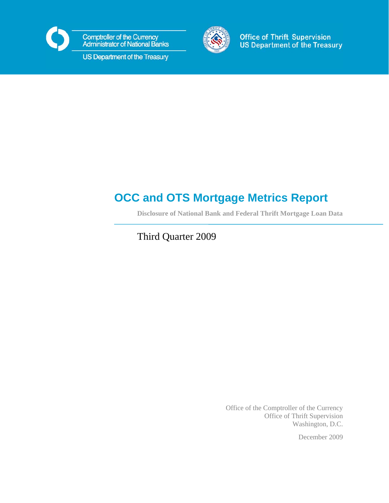

**Comptroller of the Currency<br>Administrator of National Banks** 

US Department of the Treasury



**Office of Thrift Supervision US Department of the Treasury** 

# **OCC and OTS Mortgage Metrics Report**

**Disclosure of National Bank and Federal Thrift Mortgage Loan Data** 

Third Quarter 2009

Office of the Comptroller of the Currency Office of Thrift Supervision Washington, D.C.

December 2009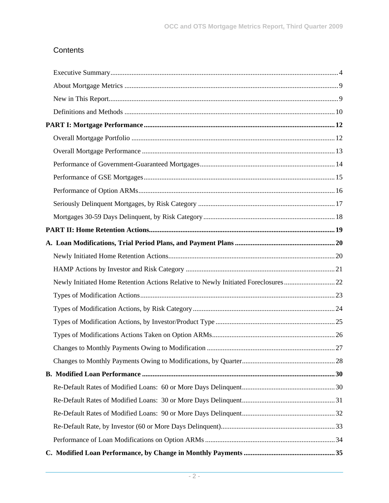# **Contents**

| Newly Initiated Home Retention Actions Relative to Newly Initiated Foreclosures22 |  |
|-----------------------------------------------------------------------------------|--|
|                                                                                   |  |
|                                                                                   |  |
|                                                                                   |  |
|                                                                                   |  |
|                                                                                   |  |
|                                                                                   |  |
|                                                                                   |  |
|                                                                                   |  |
|                                                                                   |  |
|                                                                                   |  |
|                                                                                   |  |
|                                                                                   |  |
|                                                                                   |  |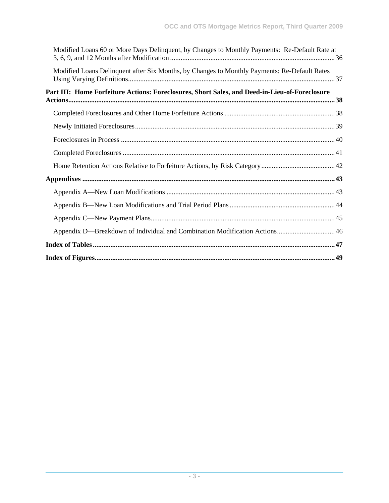| Modified Loans 60 or More Days Delinquent, by Changes to Monthly Payments: Re-Default Rate at |
|-----------------------------------------------------------------------------------------------|
| Modified Loans Delinquent after Six Months, by Changes to Monthly Payments: Re-Default Rates  |
| Part III: Home Forfeiture Actions: Foreclosures, Short Sales, and Deed-in-Lieu-of-Foreclosure |
|                                                                                               |
|                                                                                               |
|                                                                                               |
|                                                                                               |
|                                                                                               |
|                                                                                               |
|                                                                                               |
|                                                                                               |
|                                                                                               |
|                                                                                               |
|                                                                                               |
|                                                                                               |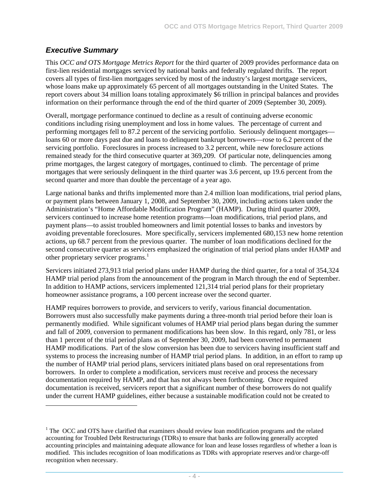## *Executive Summary*

l

This *OCC and OTS Mortgage Metrics Report* for the third quarter of 2009 provides performance data on first-lien residential mortgages serviced by national banks and federally regulated thrifts. The report covers all types of first-lien mortgages serviced by most of the industry's largest mortgage servicers, whose loans make up approximately 65 percent of all mortgages outstanding in the United States. The report covers about 34 million loans totaling approximately \$6 trillion in principal balances and provides information on their performance through the end of the third quarter of 2009 (September 30, 2009).

Overall, mortgage performance continued to decline as a result of continuing adverse economic conditions including rising unemployment and loss in home values. The percentage of current and performing mortgages fell to 87.2 percent of the servicing portfolio. Seriously delinquent mortgages loans 60 or more days past due and loans to delinquent bankrupt borrowers—rose to 6.2 percent of the servicing portfolio. Foreclosures in process increased to 3.2 percent, while new foreclosure actions remained steady for the third consecutive quarter at 369,209. Of particular note, delinquencies among prime mortgages, the largest category of mortgages, continued to climb. The percentage of prime mortgages that were seriously delinquent in the third quarter was 3.6 percent, up 19.6 percent from the second quarter and more than double the percentage of a year ago.

Large national banks and thrifts implemented more than 2.4 million loan modifications, trial period plans, or payment plans between January 1, 2008, and September 30, 2009, including actions taken under the Administration's "Home Affordable Modification Program" (HAMP). During third quarter 2009, servicers continued to increase home retention programs—loan modifications, trial period plans, and payment plans—to assist troubled homeowners and limit potential losses to banks and investors by avoiding preventable foreclosures. More specifically, servicers implemented 680,153 new home retention actions, up 68.7 percent from the previous quarter. The number of loan modifications declined for the second consecutive quarter as servicers emphasized the origination of trial period plans under HAMP and other proprietary servicer programs.<sup>1</sup>

Servicers initiated 273,913 trial period plans under HAMP during the third quarter, for a total of 354,324 HAMP trial period plans from the announcement of the program in March through the end of September. In addition to HAMP actions, servicers implemented 121,314 trial period plans for their proprietary homeowner assistance programs, a 100 percent increase over the second quarter.

HAMP requires borrowers to provide, and servicers to verify, various financial documentation. Borrowers must also successfully make payments during a three-month trial period before their loan is permanently modified. While significant volumes of HAMP trial period plans began during the summer and fall of 2009, conversion to permanent modifications has been slow. In this regard, only 781, or less than 1 percent of the trial period plans as of September 30, 2009, had been converted to permanent HAMP modifications. Part of the slow conversion has been due to servicers having insufficient staff and systems to process the increasing number of HAMP trial period plans. In addition, in an effort to ramp up the number of HAMP trial period plans, servicers initiated plans based on oral representations from borrowers. In order to complete a modification, servicers must receive and process the necessary documentation required by HAMP, and that has not always been forthcoming. Once required documentation is received, servicers report that a significant number of these borrowers do not qualify under the current HAMP guidelines, either because a sustainable modification could not be created to

 $1$  The OCC and OTS have clarified that examiners should review loan modification programs and the related accounting for Troubled Debt Restructurings (TDRs) to ensure that banks are following generally accepted accounting principles and maintaining adequate allowance for loan and lease losses regardless of whether a loan is modified. This includes recognition of loan modifications as TDRs with appropriate reserves and/or charge-off recognition when necessary.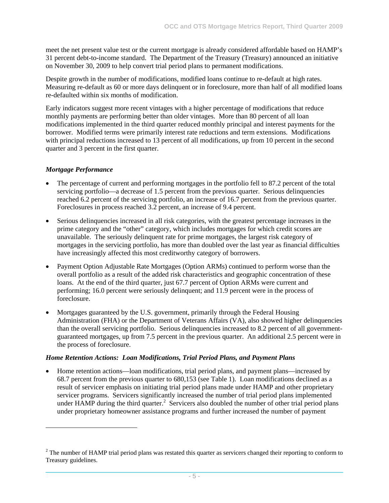meet the net present value test or the current mortgage is already considered affordable based on HAMP's 31 percent debt-to-income standard. The Department of the Treasury (Treasury) announced an initiative on November 30, 2009 to help convert trial period plans to permanent modifications.

Despite growth in the number of modifications, modified loans continue to re-default at high rates. Measuring re-default as 60 or more days delinquent or in foreclosure, more than half of all modified loans re-defaulted within six months of modification.

Early indicators suggest more recent vintages with a higher percentage of modifications that reduce monthly payments are performing better than older vintages. More than 80 percent of all loan modifications implemented in the third quarter reduced monthly principal and interest payments for the borrower. Modified terms were primarily interest rate reductions and term extensions. Modifications with principal reductions increased to 13 percent of all modifications, up from 10 percent in the second quarter and 3 percent in the first quarter.

#### *Mortgage Performance*

l

- The percentage of current and performing mortgages in the portfolio fell to 87.2 percent of the total servicing portfolio—a decrease of 1.5 percent from the previous quarter. Serious delinquencies reached 6.2 percent of the servicing portfolio, an increase of 16.7 percent from the previous quarter. Foreclosures in process reached 3.2 percent, an increase of 9.4 percent.
- Serious delinquencies increased in all risk categories, with the greatest percentage increases in the prime category and the "other" category, which includes mortgages for which credit scores are unavailable. The seriously delinquent rate for prime mortgages, the largest risk category of mortgages in the servicing portfolio, has more than doubled over the last year as financial difficulties have increasingly affected this most creditworthy category of borrowers.
- Payment Option Adjustable Rate Mortgages (Option ARMs) continued to perform worse than the overall portfolio as a result of the added risk characteristics and geographic concentration of these loans. At the end of the third quarter, just 67.7 percent of Option ARMs were current and performing; 16.0 percent were seriously delinquent; and 11.9 percent were in the process of foreclosure.
- Mortgages guaranteed by the U.S. government, primarily through the Federal Housing Administration (FHA) or the Department of Veterans Affairs (VA), also showed higher delinquencies than the overall servicing portfolio. Serious delinquencies increased to 8.2 percent of all governmentguaranteed mortgages, up from 7.5 percent in the previous quarter. An additional 2.5 percent were in the process of foreclosure.

#### *Home Retention Actions: Loan Modifications, Trial Period Plans, and Payment Plans*

• Home retention actions—loan modifications, trial period plans, and payment plans—increased by 68.7 percent from the previous quarter to 680,153 (see Table 1). Loan modifications declined as a result of servicer emphasis on initiating trial period plans made under HAMP and other proprietary servicer programs. Servicers significantly increased the number of trial period plans implemented under HAMP during the third quarter.<sup>2</sup> Servicers also doubled the number of other trial period plans under proprietary homeowner assistance programs and further increased the number of payment

 $2^2$  The number of HAMP trial period plans was restated this quarter as servicers changed their reporting to conform to Treasury guidelines.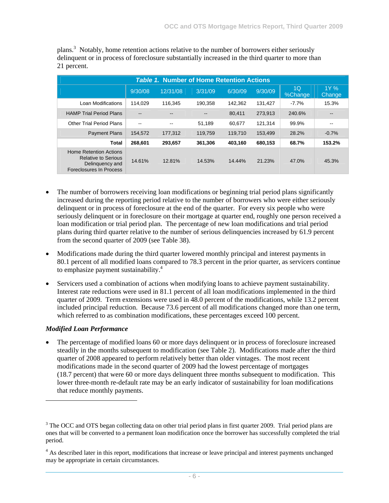| <b>Table 1. Number of Home Retention Actions</b>                                                          |                          |                          |         |         |         |                           |                          |  |  |  |  |
|-----------------------------------------------------------------------------------------------------------|--------------------------|--------------------------|---------|---------|---------|---------------------------|--------------------------|--|--|--|--|
|                                                                                                           | 9/30/08                  | 12/31/08                 | 3/31/09 | 6/30/09 | 9/30/09 | 1 <sub>O</sub><br>%Change | $1Y \%$<br>Change        |  |  |  |  |
| Loan Modifications                                                                                        | 114.029                  | 116.345                  | 190.358 | 142,362 | 131,427 | $-7.7\%$                  | 15.3%                    |  |  |  |  |
| <b>HAMP Trial Period Plans</b>                                                                            | $\overline{\phantom{a}}$ | $\qquad \qquad -$        | --      | 80,411  | 273,913 | 240.6%                    | $\overline{\phantom{m}}$ |  |  |  |  |
| <b>Other Trial Period Plans</b>                                                                           | $\overline{\phantom{a}}$ | $\overline{\phantom{a}}$ | 51.189  | 60.677  | 121,314 | 99.9%                     | $\overline{\phantom{a}}$ |  |  |  |  |
| <b>Payment Plans</b>                                                                                      | 154,572                  | 177,312                  | 119,759 | 119,710 | 153,499 | 28.2%                     | $-0.7%$                  |  |  |  |  |
| Total                                                                                                     | 268.601                  | 293.657                  | 361.306 | 403.160 | 680,153 | 68.7%                     | 153.2%                   |  |  |  |  |
| <b>Home Retention Actions</b><br><b>Relative to Serious</b><br>Delinguency and<br>Foreclosures In Process | 14.61%                   | 12.81%                   | 14.53%  | 14.44%  | 21.23%  | 47.0%                     | 45.3%                    |  |  |  |  |

plans.<sup>3</sup> Notably, home retention actions relative to the number of borrowers either seriously delinquent or in process of foreclosure substantially increased in the third quarter to more than 21 percent.

- The number of borrowers receiving loan modifications or beginning trial period plans significantly increased during the reporting period relative to the number of borrowers who were either seriously delinquent or in process of foreclosure at the end of the quarter. For every six people who were seriously delinquent or in foreclosure on their mortgage at quarter end, roughly one person received a loan modification or trial period plan. The percentage of new loan modifications and trial period plans during third quarter relative to the number of serious delinquencies increased by 61.9 percent from the second quarter of 2009 (see Table 38).
- Modifications made during the third quarter lowered monthly principal and interest payments in 80.1 percent of all modified loans compared to 78.3 percent in the prior quarter, as servicers continue to emphasize payment sustainability.<sup>4</sup>
- Servicers used a combination of actions when modifying loans to achieve payment sustainability. Interest rate reductions were used in 81.1 percent of all loan modifications implemented in the third quarter of 2009. Term extensions were used in 48.0 percent of the modifications, while 13.2 percent included principal reduction. Because 73.6 percent of all modifications changed more than one term, which referred to as combination modifications, these percentages exceed 100 percent.

#### *Modified Loan Performance*

1

The percentage of modified loans 60 or more days delinquent or in process of foreclosure increased steadily in the months subsequent to modification (see Table 2). Modifications made after the third quarter of 2008 appeared to perform relatively better than older vintages. The most recent modifications made in the second quarter of 2009 had the lowest percentage of mortgages (18.7 percent) that were 60 or more days delinquent three months subsequent to modification. This lower three-month re-default rate may be an early indicator of sustainability for loan modifications that reduce monthly payments.

 $3$  The OCC and OTS began collecting data on other trial period plans in first quarter 2009. Trial period plans are ones that will be converted to a permanent loan modification once the borrower has successfully completed the trial period.

<sup>&</sup>lt;sup>4</sup> As described later in this report, modifications that increase or leave principal and interest payments unchanged may be appropriate in certain circumstances.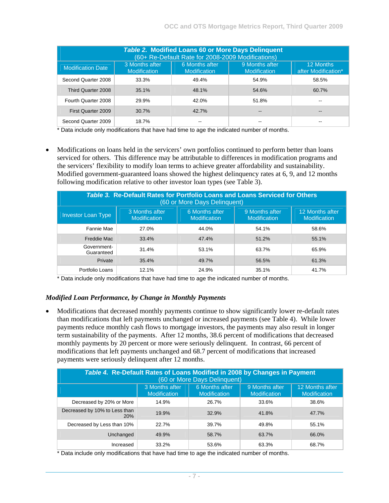| <b>Table 2. Modified Loans 60 or More Days Delinquent</b><br>(60+ Re-Default Rate for 2008-2009 Modifications) |                                       |                                       |                                       |                                  |  |  |  |  |  |  |  |
|----------------------------------------------------------------------------------------------------------------|---------------------------------------|---------------------------------------|---------------------------------------|----------------------------------|--|--|--|--|--|--|--|
| <b>Modification Date</b>                                                                                       | 3 Months after<br><b>Modification</b> | 6 Months after<br><b>Modification</b> | 9 Months after<br><b>Modification</b> | 12 Months<br>after Modification* |  |  |  |  |  |  |  |
| Second Quarter 2008                                                                                            | 33.3%                                 | 49.4%                                 | 54.9%                                 | 58.5%                            |  |  |  |  |  |  |  |
| Third Quarter 2008                                                                                             | 35.1%                                 | 48.1%                                 | 54.6%                                 | 60.7%                            |  |  |  |  |  |  |  |
| Fourth Quarter 2008                                                                                            | 29.9%                                 | 42.0%                                 | 51.8%                                 |                                  |  |  |  |  |  |  |  |
| First Quarter 2009                                                                                             | 30.7%                                 | 42.7%                                 | $- -$                                 | --                               |  |  |  |  |  |  |  |
| Second Quarter 2009                                                                                            | 18.7%                                 |                                       |                                       |                                  |  |  |  |  |  |  |  |

\* Data include only modifications that have had time to age the indicated number of months.

• Modifications on loans held in the servicers' own portfolios continued to perform better than loans serviced for others. This difference may be attributable to differences in modification programs and the servicers' flexibility to modify loan terms to achieve greater affordability and sustainability. Modified government-guaranteed loans showed the highest delinquency rates at 6, 9, and 12 months following modification relative to other investor loan types (see Table 3).

| Table 3. Re-Default Rates for Portfolio Loans and Loans Serviced for Others<br>(60 or More Days Delinquent) |                                       |                                       |                                       |                                        |  |  |  |  |  |  |  |
|-------------------------------------------------------------------------------------------------------------|---------------------------------------|---------------------------------------|---------------------------------------|----------------------------------------|--|--|--|--|--|--|--|
| <b>Investor Loan Type</b>                                                                                   | 3 Months after<br><b>Modification</b> | 6 Months after<br><b>Modification</b> | 9 Months after<br><b>Modification</b> | 12 Months after<br><b>Modification</b> |  |  |  |  |  |  |  |
| Fannie Mae                                                                                                  | 27.0%                                 | 44.0%                                 | 54.1%                                 | 58.6%                                  |  |  |  |  |  |  |  |
| Freddie Mac                                                                                                 | 33.4%                                 | 47.4%                                 | 51.2%                                 | 55.1%                                  |  |  |  |  |  |  |  |
| Government-<br>Guaranteed                                                                                   | 31.4%                                 | 53.1%                                 | 63.7%                                 | 65.9%                                  |  |  |  |  |  |  |  |
| Private                                                                                                     | 35.4%                                 | 49.7%                                 | 56.5%                                 | 61.3%                                  |  |  |  |  |  |  |  |
| Portfolio Loans                                                                                             | 12.1%                                 | 24.9%                                 | 35.1%                                 | 41.7%                                  |  |  |  |  |  |  |  |

\* Data include only modifications that have had time to age the indicated number of months.

#### *Modified Loan Performance, by Change in Monthly Payments*

• Modifications that decreased monthly payments continue to show significantly lower re-default rates than modifications that left payments unchanged or increased payments (see Table 4). While lower payments reduce monthly cash flows to mortgage investors, the payments may also result in longer term sustainability of the payments. After 12 months, 38.6 percent of modifications that decreased monthly payments by 20 percent or more were seriously delinquent. In contrast, 66 percent of modifications that left payments unchanged and 68.7 percent of modifications that increased payments were seriously delinquent after 12 months.

| Table 4. Re-Default Rates of Loans Modified in 2008 by Changes in Payment<br>(60 or More Days Delinquent) |                                                                                                                         |       |       |       |  |  |  |  |  |  |
|-----------------------------------------------------------------------------------------------------------|-------------------------------------------------------------------------------------------------------------------------|-------|-------|-------|--|--|--|--|--|--|
|                                                                                                           | 3 Months after<br>6 Months after<br>9 Months after<br><b>Modification</b><br><b>Modification</b><br><b>Modification</b> |       |       |       |  |  |  |  |  |  |
| Decreased by 20% or More                                                                                  | 14.9%                                                                                                                   | 26.7% | 33.6% | 38.6% |  |  |  |  |  |  |
| Decreased by 10% to Less than<br>20%                                                                      | 19.9%                                                                                                                   | 32.9% | 41.8% | 47.7% |  |  |  |  |  |  |
| Decreased by Less than 10%                                                                                | 22.7%                                                                                                                   | 39.7% | 49.8% | 55.1% |  |  |  |  |  |  |
| Unchanged                                                                                                 | 49.9%                                                                                                                   | 58.7% | 63.7% | 66.0% |  |  |  |  |  |  |
| Increased                                                                                                 | 33.2%                                                                                                                   | 53.6% | 63.3% | 68.7% |  |  |  |  |  |  |

\* Data include only modifications that have had time to age the indicated number of months.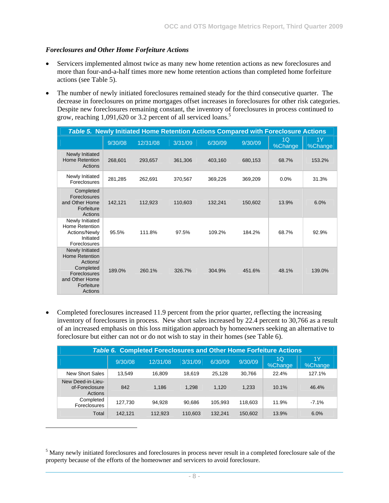#### *Foreclosures and Other Home Forfeiture Actions*

l

- Servicers implemented almost twice as many new home retention actions as new foreclosures and more than four-and-a-half times more new home retention actions than completed home forfeiture actions (see Table 5).
- The number of newly initiated foreclosures remained steady for the third consecutive quarter. The decrease in foreclosures on prime mortgages offset increases in foreclosures for other risk categories. Despite new foreclosures remaining constant, the inventory of foreclosures in process continued to grow, reaching 1,091,620 or 3.2 percent of all serviced loans.<sup>5</sup>

| <b>Table 5. Newly Initiated Home Retention Actions Compared with Foreclosure Actions</b>                                     |         |          |         |         |         |                           |               |  |  |  |
|------------------------------------------------------------------------------------------------------------------------------|---------|----------|---------|---------|---------|---------------------------|---------------|--|--|--|
|                                                                                                                              | 9/30/08 | 12/31/08 | 3/31/09 | 6/30/09 | 9/30/09 | 1 <sub>O</sub><br>%Change | 1Y<br>%Change |  |  |  |
| Newly Initiated<br><b>Home Retention</b><br>Actions                                                                          | 268,601 | 293,657  | 361,306 | 403,160 | 680,153 | 68.7%                     | 153.2%        |  |  |  |
| Newly Initiated<br>Foreclosures                                                                                              | 281,285 | 262,691  | 370,567 | 369,226 | 369,209 | 0.0%                      | 31.3%         |  |  |  |
| Completed<br>Foreclosures<br>and Other Home<br>Forfeiture<br>Actions                                                         | 142,121 | 112,923  | 110,603 | 132,241 | 150,602 | 13.9%                     | 6.0%          |  |  |  |
| Newly Initiated<br>Home Retention<br>Actions/Newly<br>Initiated<br>Foreclosures                                              | 95.5%   | 111.8%   | 97.5%   | 109.2%  | 184.2%  | 68.7%                     | 92.9%         |  |  |  |
| Newly Initiated<br><b>Home Retention</b><br>Actions/<br>Completed<br>Foreclosures<br>and Other Home<br>Forfeiture<br>Actions | 189.0%  | 260.1%   | 326.7%  | 304.9%  | 451.6%  | 48.1%                     | 139.0%        |  |  |  |

• Completed foreclosures increased 11.9 percent from the prior quarter, reflecting the increasing inventory of foreclosures in process. New short sales increased by 22.4 percent to 30,766 as a result of an increased emphasis on this loss mitigation approach by homeowners seeking an alternative to foreclosure but either can not or do not wish to stay in their homes (see Table 6).

| <b>Table 6. Completed Foreclosures and Other Home Forfeiture Actions</b> |         |          |         |         |         |               |               |  |  |  |  |  |
|--------------------------------------------------------------------------|---------|----------|---------|---------|---------|---------------|---------------|--|--|--|--|--|
|                                                                          | 9/30/08 | 12/31/08 | 3/31/09 | 6/30/09 | 9/30/09 | 1Q<br>%Change | 1Y<br>%Change |  |  |  |  |  |
| New Short Sales                                                          | 13.549  | 16.809   | 18.619  | 25.128  | 30.766  | 22.4%         | 127.1%        |  |  |  |  |  |
| New Deed-in-Lieu-<br>of-Foreclosure<br>Actions                           | 842     | 1.186    | 1,298   | 1.120   | 1,233   | 10.1%         | 46.4%         |  |  |  |  |  |
| Completed<br><b>Foreclosures</b>                                         | 127,730 | 94.928   | 90.686  | 105.993 | 118.603 | 11.9%         | $-7.1%$       |  |  |  |  |  |
| Total                                                                    | 142.121 | 112,923  | 110.603 | 132.241 | 150,602 | 13.9%         | 6.0%          |  |  |  |  |  |

<sup>&</sup>lt;sup>5</sup> Many newly initiated foreclosures and foreclosures in process never result in a completed foreclosure sale of the property because of the efforts of the homeowner and servicers to avoid foreclosure.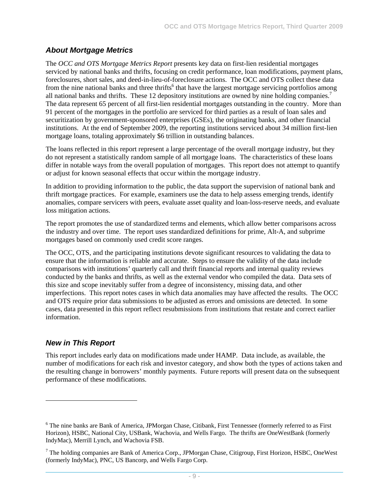#### *About Mortgage Metrics*

The *OCC and OTS Mortgage Metrics Report* presents key data on first-lien residential mortgages serviced by national banks and thrifts, focusing on credit performance, loan modifications, payment plans, foreclosures, short sales, and deed-in-lieu-of-foreclosure actions. The OCC and OTS collect these data from the nine national banks and three thrifts<sup>6</sup> that have the largest mortgage servicing portfolios among all national banks and thrifts. These 12 depository institutions are owned by nine holding companies.<sup>7</sup> The data represent 65 percent of all first-lien residential mortgages outstanding in the country. More than 91 percent of the mortgages in the portfolio are serviced for third parties as a result of loan sales and securitization by government-sponsored enterprises (GSEs), the originating banks, and other financial institutions. At the end of September 2009, the reporting institutions serviced about 34 million first-lien mortgage loans, totaling approximately \$6 trillion in outstanding balances.

The loans reflected in this report represent a large percentage of the overall mortgage industry, but they do not represent a statistically random sample of all mortgage loans. The characteristics of these loans differ in notable ways from the overall population of mortgages. This report does not attempt to quantify or adjust for known seasonal effects that occur within the mortgage industry.

In addition to providing information to the public, the data support the supervision of national bank and thrift mortgage practices. For example, examiners use the data to help assess emerging trends, identify anomalies, compare servicers with peers, evaluate asset quality and loan-loss-reserve needs, and evaluate loss mitigation actions.

The report promotes the use of standardized terms and elements, which allow better comparisons across the industry and over time. The report uses standardized definitions for prime, Alt-A, and subprime mortgages based on commonly used credit score ranges.

The OCC, OTS, and the participating institutions devote significant resources to validating the data to ensure that the information is reliable and accurate. Steps to ensure the validity of the data include comparisons with institutions' quarterly call and thrift financial reports and internal quality reviews conducted by the banks and thrifts, as well as the external vendor who compiled the data. Data sets of this size and scope inevitably suffer from a degree of inconsistency, missing data, and other imperfections. This report notes cases in which data anomalies may have affected the results. The OCC and OTS require prior data submissions to be adjusted as errors and omissions are detected. In some cases, data presented in this report reflect resubmissions from institutions that restate and correct earlier information.

#### *New in This Report*

l

This report includes early data on modifications made under HAMP. Data include, as available, the number of modifications for each risk and investor category, and show both the types of actions taken and the resulting change in borrowers' monthly payments. Future reports will present data on the subsequent performance of these modifications.

<sup>&</sup>lt;sup>6</sup> The nine banks are Bank of America, JPMorgan Chase, Citibank, First Tennessee (formerly referred to as First Horizon), HSBC, National City, USBank, Wachovia, and Wells Fargo. The thrifts are OneWestBank (formerly IndyMac), Merrill Lynch, and Wachovia FSB.

 $7$  The holding companies are Bank of America Corp., JPMorgan Chase, Citigroup, First Horizon, HSBC, OneWest (formerly IndyMac), PNC, US Bancorp, and Wells Fargo Corp.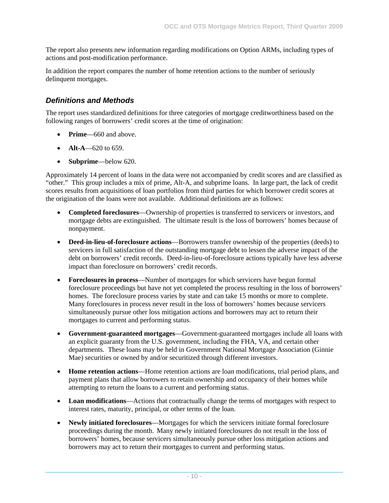The report also presents new information regarding modifications on Option ARMs, including types of actions and post-modification performance.

In addition the report compares the number of home retention actions to the number of seriously delinquent mortgages.

### *Definitions and Methods*

The report uses standardized definitions for three categories of mortgage creditworthiness based on the following ranges of borrowers' credit scores at the time of origination:

- **Prime**—660 and above.
- $Alt-A$ —620 to 659.
- **Subprime**—below 620.

Approximately 14 percent of loans in the data were not accompanied by credit scores and are classified as "other." This group includes a mix of prime, Alt-A, and subprime loans. In large part, the lack of credit scores results from acquisitions of loan portfolios from third parties for which borrower credit scores at the origination of the loans were not available. Additional definitions are as follows:

- **Completed foreclosures**—Ownership of properties is transferred to servicers or investors, and mortgage debts are extinguished. The ultimate result is the loss of borrowers' homes because of nonpayment.
- **Deed-in-lieu-of-foreclosure actions**—Borrowers transfer ownership of the properties (deeds) to servicers in full satisfaction of the outstanding mortgage debt to lessen the adverse impact of the debt on borrowers' credit records. Deed-in-lieu-of-foreclosure actions typically have less adverse impact than foreclosure on borrowers' credit records.
- **Foreclosures in process**—Number of mortgages for which servicers have begun formal foreclosure proceedings but have not yet completed the process resulting in the loss of borrowers' homes. The foreclosure process varies by state and can take 15 months or more to complete. Many foreclosures in process never result in the loss of borrowers' homes because servicers simultaneously pursue other loss mitigation actions and borrowers may act to return their mortgages to current and performing status.
- **Government-guaranteed mortgages**—Government-guaranteed mortgages include all loans with an explicit guaranty from the U.S. government, including the FHA, VA, and certain other departments. These loans may be held in Government National Mortgage Association (Ginnie Mae) securities or owned by and/or securitized through different investors.
- **Home retention actions**—Home retention actions are loan modifications, trial period plans, and payment plans that allow borrowers to retain ownership and occupancy of their homes while attempting to return the loans to a current and performing status.
- **Loan modifications**—Actions that contractually change the terms of mortgages with respect to interest rates, maturity, principal, or other terms of the loan.
- **Newly initiated foreclosures**—Mortgages for which the servicers initiate formal foreclosure proceedings during the month. Many newly initiated foreclosures do not result in the loss of borrowers' homes, because servicers simultaneously pursue other loss mitigation actions and borrowers may act to return their mortgages to current and performing status.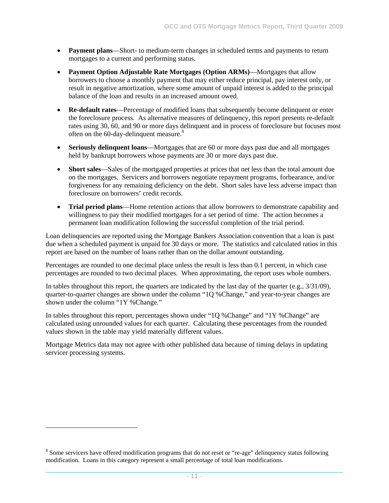- **Payment plans**—Short- to medium-term changes in scheduled terms and payments to return mortgages to a current and performing status.
- **Payment Option Adjustable Rate Mortgages (Option ARMs)**—Mortgages that allow borrowers to choose a monthly payment that may either reduce principal, pay interest only, or result in negative amortization, where some amount of unpaid interest is added to the principal balance of the loan and results in an increased amount owed.
- **Re-default rates**—Percentage of modified loans that subsequently become delinquent or enter the foreclosure process. As alternative measures of delinquency, this report presents re-default rates using 30, 60, and 90 or more days delinquent and in process of foreclosure but focuses most often on the 60-day-delinquent measure.<sup>8</sup>
- **Seriously delinquent loans**—Mortgages that are 60 or more days past due and all mortgages held by bankrupt borrowers whose payments are 30 or more days past due.
- **Short sales**—Sales of the mortgaged properties at prices that net less than the total amount due on the mortgages. Servicers and borrowers negotiate repayment programs, forbearance, and/or forgiveness for any remaining deficiency on the debt. Short sales have less adverse impact than foreclosure on borrowers' credit records.
- **Trial period plans**—Home retention actions that allow borrowers to demonstrate capability and willingness to pay their modified mortgages for a set period of time. The action becomes a permanent loan modification following the successful completion of the trial period.

Loan delinquencies are reported using the Mortgage Bankers Association convention that a loan is past due when a scheduled payment is unpaid for 30 days or more. The statistics and calculated ratios in this report are based on the number of loans rather than on the dollar amount outstanding.

Percentages are rounded to one decimal place unless the result is less than 0.1 percent, in which case percentages are rounded to two decimal places. When approximating, the report uses whole numbers.

In tables throughout this report, the quarters are indicated by the last day of the quarter (e.g., 3/31/09), quarter-to-quarter changes are shown under the column "1Q %Change," and year-to-year changes are shown under the column "1Y %Change."

In tables throughout this report, percentages shown under "1Q %Change" and "1Y %Change" are calculated using unrounded values for each quarter. Calculating these percentages from the rounded values shown in the table may yield materially different values.

Mortgage Metrics data may not agree with other published data because of timing delays in updating servicer processing systems.

-

<sup>&</sup>lt;sup>8</sup> Some servicers have offered modification programs that do not reset or "re-age" delinquency status following modification. Loans in this category represent a small percentage of total loan modifications.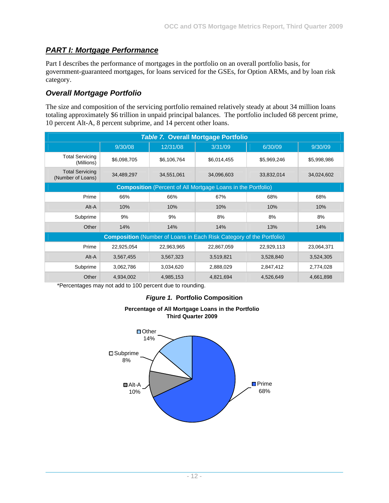## *PART I: Mortgage Performance*

Part I describes the performance of mortgages in the portfolio on an overall portfolio basis, for government-guaranteed mortgages, for loans serviced for the GSEs, for Option ARMs, and by loan risk category.

## *Overall Mortgage Portfolio*

The size and composition of the servicing portfolio remained relatively steady at about 34 million loans totaling approximately \$6 trillion in unpaid principal balances. The portfolio included 68 percent prime, 10 percent Alt-A, 8 percent subprime, and 14 percent other loans.

| <b>Table 7. Overall Mortgage Portfolio</b>                          |             |             |                                                                             |             |             |  |  |  |  |  |  |  |
|---------------------------------------------------------------------|-------------|-------------|-----------------------------------------------------------------------------|-------------|-------------|--|--|--|--|--|--|--|
|                                                                     | 9/30/08     | 12/31/08    | 3/31/09                                                                     | 6/30/09     | 9/30/09     |  |  |  |  |  |  |  |
| <b>Total Servicing</b><br>(Millions)                                | \$6,098,705 | \$6,106,764 | \$6,014,455                                                                 | \$5,969,246 | \$5,998,986 |  |  |  |  |  |  |  |
| <b>Total Servicing</b><br>(Number of Loans)                         | 34,489,297  | 34,551,061  | 34,096,603                                                                  | 33,832,014  | 34,024,602  |  |  |  |  |  |  |  |
| <b>Composition</b> (Percent of All Mortgage Loans in the Portfolio) |             |             |                                                                             |             |             |  |  |  |  |  |  |  |
| Prime                                                               | 66%         | 66%         | 67%                                                                         | 68%         | 68%         |  |  |  |  |  |  |  |
| Alt-A                                                               | 10%         | 10%         | 10%                                                                         | 10%         | 10%         |  |  |  |  |  |  |  |
| Subprime                                                            | 9%          | 9%          | 8%                                                                          | 8%          | 8%          |  |  |  |  |  |  |  |
| Other                                                               | 14%         | 14%         | 14%                                                                         | 13%         | 14%         |  |  |  |  |  |  |  |
|                                                                     |             |             | <b>Composition</b> (Number of Loans in Each Risk Category of the Portfolio) |             |             |  |  |  |  |  |  |  |
| Prime                                                               | 22,925,054  | 22,963,965  | 22,867,059                                                                  | 22,929,113  | 23,064,371  |  |  |  |  |  |  |  |
| Alt-A                                                               | 3,567,455   | 3,567,323   | 3,519,821                                                                   | 3,528,840   | 3,524,305   |  |  |  |  |  |  |  |
| Subprime                                                            | 3,062,786   | 3,034,620   | 2,888,029                                                                   | 2,847,412   | 2,774,028   |  |  |  |  |  |  |  |
| Other                                                               | 4,934,002   | 4,985,153   | 4,821,694                                                                   | 4,526,649   | 4,661,898   |  |  |  |  |  |  |  |

\*Percentages may not add to 100 percent due to rounding.

#### *Figure 1.* **Portfolio Composition**



#### **Percentage of All Mortgage Loans in the Portfolio Third Quarter 2009**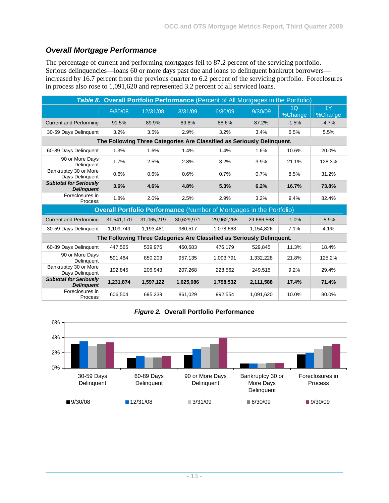# *Overall Mortgage Performance*

The percentage of current and performing mortgages fell to 87.2 percent of the servicing portfolio. Serious delinquencies—loans 60 or more days past due and loans to delinquent bankrupt borrowers increased by 16.7 percent from the previous quarter to 6.2 percent of the servicing portfolio. Foreclosures in process also rose to 1,091,620 and represented 3.2 percent of all serviced loans.

| Table 8. Overall Portfolio Performance (Percent of All Mortgages in the Portfolio) |            |            |            |                                                                             |            |               |               |  |  |  |  |
|------------------------------------------------------------------------------------|------------|------------|------------|-----------------------------------------------------------------------------|------------|---------------|---------------|--|--|--|--|
|                                                                                    | 9/30/08    | 12/31/08   | 3/31/09    | 6/30/09                                                                     | 9/30/09    | 1Q<br>%Change | 1Y<br>%Change |  |  |  |  |
| <b>Current and Performing</b>                                                      | 91.5%      | 89.9%      | 89.8%      | 88.6%                                                                       | 87.2%      | $-1.5%$       | $-4.7%$       |  |  |  |  |
| 30-59 Days Delinquent                                                              | 3.2%       | 3.5%       | 2.9%       | 3.2%                                                                        | 3.4%       | 6.5%          | 5.5%          |  |  |  |  |
| The Following Three Categories Are Classified as Seriously Delinquent.             |            |            |            |                                                                             |            |               |               |  |  |  |  |
| 60-89 Days Delinquent<br>1.3%<br>1.6%<br>1.4%<br>1.6%<br>10.6%<br>20.0%<br>1.4%    |            |            |            |                                                                             |            |               |               |  |  |  |  |
| 90 or More Davs<br>Delinquent                                                      | 1.7%       | 2.5%       | 2.8%       | 3.2%                                                                        | 3.9%       | 21.1%         | 128.3%        |  |  |  |  |
| Bankruptcy 30 or More<br>Days Delinquent                                           | 0.6%       | 0.6%       | 0.6%       | 0.7%                                                                        | 0.7%       | 8.5%          | 31.2%         |  |  |  |  |
| <b>Subtotal for Seriously</b><br><b>Delinguent</b>                                 | 3.6%       | 4.6%       | 4.8%       | 5.3%                                                                        | 6.2%       | 16.7%         | 73.8%         |  |  |  |  |
| Foreclosures in<br>Process                                                         | 1.8%       | 2.0%       | 2.5%       | 2.9%                                                                        | 3.2%       | 9.4%          | 82.4%         |  |  |  |  |
|                                                                                    |            |            |            | <b>Overall Portfolio Performance (Number of Mortgages in the Portfolio)</b> |            |               |               |  |  |  |  |
| <b>Current and Performing</b>                                                      | 31,541,170 | 31,065,219 | 30,629,971 | 29,962,265                                                                  | 29,666,568 | $-1.0%$       | $-5.9%$       |  |  |  |  |
| 30-59 Days Delinguent                                                              | 1,109,749  | 1,193,481  | 980,517    | 1,078,663                                                                   | 1,154,826  | 7.1%          | 4.1%          |  |  |  |  |
|                                                                                    |            |            |            | The Following Three Categories Are Classified as Seriously Delinquent.      |            |               |               |  |  |  |  |
| 60-89 Days Delinquent                                                              | 447,565    | 539,976    | 460,683    | 476,179                                                                     | 529,845    | 11.3%         | 18.4%         |  |  |  |  |
| 90 or More Days<br>Delinquent                                                      | 591,464    | 850,203    | 957,135    | 1,093,791                                                                   | 1,332,228  | 21.8%         | 125.2%        |  |  |  |  |
| Bankruptcy 30 or More<br>Days Delinquent                                           | 192,845    | 206.943    | 207,268    | 228,562                                                                     | 249,515    | 9.2%          | 29.4%         |  |  |  |  |
| <b>Subtotal for Seriously</b><br><b>Delinguent</b>                                 | 1,231,874  | 1,597,122  | 1,625,086  | 1,798,532                                                                   | 2,111,588  | 17.4%         | 71.4%         |  |  |  |  |
| Foreclosures in<br>Process                                                         | 606,504    | 695.239    | 861,029    | 992,554                                                                     | 1,091,620  | 10.0%         | 80.0%         |  |  |  |  |

*Figure 2.* **Overall Portfolio Performance** 

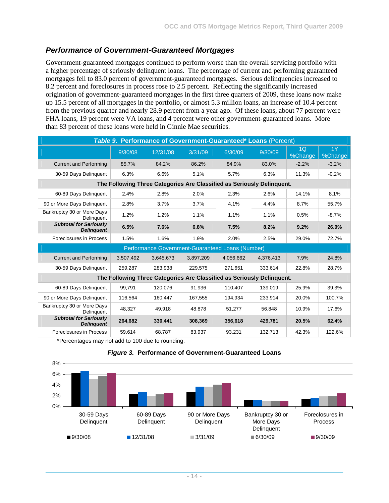#### *Performance of Government-Guaranteed Mortgages*

Government-guaranteed mortgages continued to perform worse than the overall servicing portfolio with a higher percentage of seriously delinquent loans. The percentage of current and performing guaranteed mortgages fell to 83.0 percent of government-guaranteed mortgages. Serious delinquencies increased to 8.2 percent and foreclosures in process rose to 2.5 percent. Reflecting the significantly increased origination of government-guaranteed mortgages in the first three quarters of 2009, these loans now make up 15.5 percent of all mortgages in the portfolio, or almost 5.3 million loans, an increase of 10.4 percent from the previous quarter and nearly 28.9 percent from a year ago. Of these loans, about 77 percent were FHA loans, 19 percent were VA loans, and 4 percent were other government-guaranteed loans. More than 83 percent of these loans were held in Ginnie Mae securities.

| Table 9. Performance of Government-Guaranteed* Loans (Percent) |           |                                                                        |           |           |           |                           |               |  |  |  |  |
|----------------------------------------------------------------|-----------|------------------------------------------------------------------------|-----------|-----------|-----------|---------------------------|---------------|--|--|--|--|
|                                                                | 9/30/08   | 12/31/08                                                               | 3/31/09   | 6/30/09   | 9/30/09   | 1 <sub>O</sub><br>%Change | 1Y<br>%Change |  |  |  |  |
| <b>Current and Performing</b>                                  | 85.7%     | 84.2%                                                                  | 86.2%     | 84.9%     | 83.0%     | $-2.2%$                   | $-3.2%$       |  |  |  |  |
| 30-59 Days Delinguent                                          | 6.3%      | 6.6%                                                                   | 5.1%      | 5.7%      | 6.3%      | 11.3%                     | $-0.2%$       |  |  |  |  |
|                                                                |           | The Following Three Categories Are Classified as Seriously Delinquent. |           |           |           |                           |               |  |  |  |  |
| 60-89 Days Delinquent                                          | 2.4%      | 2.8%                                                                   | 2.0%      | 2.3%      | 2.6%      | 14.1%                     | 8.1%          |  |  |  |  |
| 90 or More Days Delinguent                                     | 2.8%      | 3.7%                                                                   | 3.7%      | 4.1%      | 4.4%      | 8.7%                      | 55.7%         |  |  |  |  |
| Bankruptcy 30 or More Days<br>Delinguent                       | 1.2%      | 1.2%                                                                   | 1.1%      | 1.1%      | 1.1%      | 0.5%                      | $-8.7%$       |  |  |  |  |
| <b>Subtotal for Seriously</b><br><b>Delinguent</b>             | 6.5%      | 7.6%                                                                   | 6.8%      | 7.5%      | 8.2%      | 9.2%                      | 26.0%         |  |  |  |  |
| Foreclosures in Process                                        | 1.5%      | 1.6%                                                                   | 1.9%      | 2.0%      | 2.5%      | 29.0%                     | 72.7%         |  |  |  |  |
|                                                                |           | Performance Government-Guaranteed Loans (Number)                       |           |           |           |                           |               |  |  |  |  |
| <b>Current and Performing</b>                                  | 3,507,492 | 3,645,673                                                              | 3,897,209 | 4,056,662 | 4,376,413 | 7.9%                      | 24.8%         |  |  |  |  |
| 30-59 Days Delinguent                                          | 259,287   | 283,938                                                                | 229.575   | 271,651   | 333.614   | 22.8%                     | 28.7%         |  |  |  |  |
|                                                                |           | The Following Three Categories Are Classified as Seriously Delinquent. |           |           |           |                           |               |  |  |  |  |
| 60-89 Days Delinguent                                          | 99,791    | 120,076                                                                | 91,936    | 110,407   | 139,019   | 25.9%                     | 39.3%         |  |  |  |  |
| 90 or More Days Delinquent                                     | 116,564   | 160,447                                                                | 167,555   | 194,934   | 233,914   | 20.0%                     | 100.7%        |  |  |  |  |
| Bankruptcy 30 or More Days<br>Delinguent                       | 48,327    | 49,918                                                                 | 48,878    | 51,277    | 56,848    | 10.9%                     | 17.6%         |  |  |  |  |
| <b>Subtotal for Seriously</b><br><b>Delinquent</b>             | 264,682   | 330,441                                                                | 308,369   | 356,618   | 429,781   | 20.5%                     | 62.4%         |  |  |  |  |
| Foreclosures in Process                                        | 59.614    | 68.787                                                                 | 83.937    | 93.231    | 132.713   | 42.3%                     | 122.6%        |  |  |  |  |

\*Percentages may not add to 100 due to rounding.



#### *Figure 3.* **Performance of Government-Guaranteed Loans**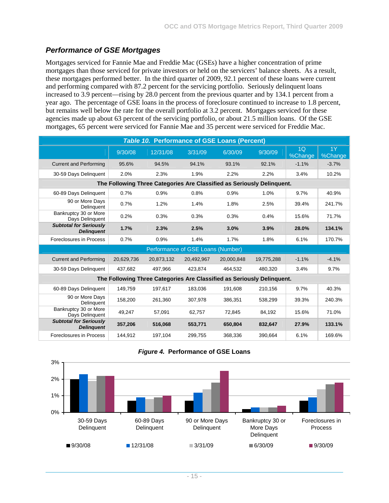## *Performance of GSE Mortgages*

Mortgages serviced for Fannie Mae and Freddie Mac (GSEs) have a higher concentration of prime mortgages than those serviced for private investors or held on the servicers' balance sheets. As a result, these mortgages performed better. In the third quarter of 2009, 92.1 percent of these loans were current and performing compared with 87.2 percent for the servicing portfolio. Seriously delinquent loans increased to 3.9 percent—rising by 28.0 percent from the previous quarter and by 134.1 percent from a year ago. The percentage of GSE loans in the process of foreclosure continued to increase to 1.8 percent, but remains well below the rate for the overall portfolio at 3.2 percent. Mortgages serviced for these agencies made up about 63 percent of the servicing portfolio, or about 21.5 million loans. Of the GSE mortgages, 65 percent were serviced for Fannie Mae and 35 percent were serviced for Freddie Mac.

| <b>Table 10. Performance of GSE Loans (Percent)</b> |            |            |                                   |                                                                        |            |               |               |  |  |  |
|-----------------------------------------------------|------------|------------|-----------------------------------|------------------------------------------------------------------------|------------|---------------|---------------|--|--|--|
|                                                     | 9/30/08    | 12/31/08   | 3/31/09                           | 6/30/09                                                                | 9/30/09    | 1Q<br>%Change | 1Y<br>%Change |  |  |  |
| <b>Current and Performing</b>                       | 95.6%      | 94.5%      | 94.1%                             | 93.1%                                                                  | 92.1%      | $-1.1%$       | $-3.7%$       |  |  |  |
| 30-59 Days Delinquent                               | 2.0%       | 2.3%       | 1.9%                              | 2.2%                                                                   | 2.2%       | 3.4%          | 10.2%         |  |  |  |
|                                                     |            |            |                                   | The Following Three Categories Are Classified as Seriously Delinquent. |            |               |               |  |  |  |
| 60-89 Days Delinquent                               | 0.7%       | 0.9%       | 0.8%                              | 0.9%                                                                   | 1.0%       | 9.7%          | 40.9%         |  |  |  |
| 90 or More Days<br>Delinquent                       | 0.7%       | 1.2%       | 1.4%                              | 1.8%                                                                   | 2.5%       | 39.4%         | 241.7%        |  |  |  |
| Bankruptcy 30 or More<br>Days Delinquent            | 0.2%       | 0.3%       | 0.3%                              | 0.3%                                                                   | 0.4%       | 15.6%         | 71.7%         |  |  |  |
| <b>Subtotal for Seriously</b><br><b>Delinguent</b>  | 1.7%       | 2.3%       | 2.5%                              | 3.0%                                                                   | 3.9%       | 28.0%         | 134.1%        |  |  |  |
| Foreclosures in Process                             | 0.7%       | 0.9%       | 1.4%                              | 1.7%                                                                   | 1.8%       | 6.1%          | 170.7%        |  |  |  |
|                                                     |            |            | Performance of GSE Loans (Number) |                                                                        |            |               |               |  |  |  |
| <b>Current and Performing</b>                       | 20,629,736 | 20,873,132 | 20,492,967                        | 20,000,848                                                             | 19,775,288 | $-1.1%$       | $-4.1%$       |  |  |  |
| 30-59 Days Delinguent                               | 437.682    | 497.966    | 423.874                           | 464.532                                                                | 480.320    | 3.4%          | 9.7%          |  |  |  |
|                                                     |            |            |                                   | The Following Three Categories Are Classified as Seriously Delinquent. |            |               |               |  |  |  |
| 60-89 Days Delinquent                               | 149,759    | 197,617    | 183,036                           | 191,608                                                                | 210,156    | 9.7%          | 40.3%         |  |  |  |
| 90 or More Days<br>Delinquent                       | 158.200    | 261.360    | 307.978                           | 386.351                                                                | 538.299    | 39.3%         | 240.3%        |  |  |  |
| Bankruptcy 30 or More<br>Days Delinquent            | 49.247     | 57.091     | 62.757                            | 72.845                                                                 | 84.192     | 15.6%         | 71.0%         |  |  |  |
| <b>Subtotal for Seriously</b><br><b>Delinguent</b>  | 357,206    | 516,068    | 553,771                           | 650,804                                                                | 832,647    | 27.9%         | 133.1%        |  |  |  |
| Foreclosures in Process                             | 144.912    | 197,104    | 299,755                           | 368,336                                                                | 390,664    | 6.1%          | 169.6%        |  |  |  |

#### *Figure 4.* **Performance of GSE Loans**

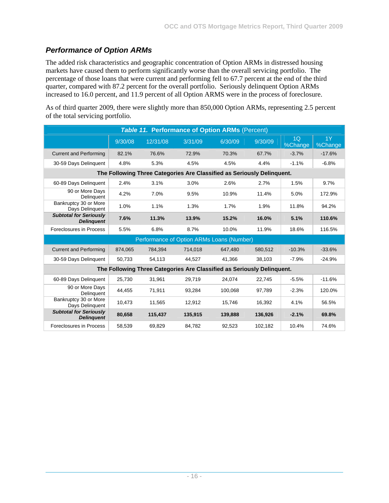# *Performance of Option ARMs*

The added risk characteristics and geographic concentration of Option ARMs in distressed housing markets have caused them to perform significantly worse than the overall servicing portfolio. The percentage of those loans that were current and performing fell to 67.7 percent at the end of the third quarter, compared with 87.2 percent for the overall portfolio. Seriously delinquent Option ARMs increased to 16.0 percent, and 11.9 percent of all Option ARMS were in the process of foreclosure.

As of third quarter 2009, there were slightly more than 850,000 Option ARMs, representing 2.5 percent of the total servicing portfolio.

|                                                    |         |          |         | <b>Table 11. Performance of Option ARMs (Percent)</b>                  |         |               |               |
|----------------------------------------------------|---------|----------|---------|------------------------------------------------------------------------|---------|---------------|---------------|
|                                                    | 9/30/08 | 12/31/08 | 3/31/09 | 6/30/09                                                                | 9/30/09 | 1Q<br>%Change | 1Y<br>%Change |
| <b>Current and Performing</b>                      | 82.1%   | 76.6%    | 72.9%   | 70.3%                                                                  | 67.7%   | $-3.7%$       | $-17.6%$      |
| 30-59 Days Delinguent                              | 4.8%    | 5.3%     | 4.5%    | 4.5%                                                                   | 4.4%    | $-1.1%$       | $-6.8%$       |
|                                                    |         |          |         | The Following Three Categories Are Classified as Seriously Delinquent. |         |               |               |
| 60-89 Days Delinguent                              | 2.4%    | 3.1%     | 3.0%    | 2.6%                                                                   | 2.7%    | 1.5%          | 9.7%          |
| 90 or More Days<br>Delinguent                      | 4.2%    | 7.0%     | 9.5%    | 10.9%                                                                  | 11.4%   | 5.0%          | 172.9%        |
| Bankruptcy 30 or More<br>Days Delinquent           | 1.0%    | 1.1%     | 1.3%    | 1.7%                                                                   | 1.9%    | 11.8%         | 94.2%         |
| <b>Subtotal for Seriously</b><br><b>Delinguent</b> | 7.6%    | 11.3%    | 13.9%   | 15.2%                                                                  | 16.0%   | 5.1%          | 110.6%        |
| Foreclosures in Process                            | 5.5%    | 6.8%     | 8.7%    | 10.0%                                                                  | 11.9%   | 18.6%         | 116.5%        |
|                                                    |         |          |         | Performance of Option ARMs Loans (Number)                              |         |               |               |
| <b>Current and Performing</b>                      | 874,065 | 784,394  | 714,018 | 647,480                                                                | 580,512 | $-10.3%$      | $-33.6%$      |
| 30-59 Days Delinguent                              | 50,733  | 54,113   | 44,527  | 41,366                                                                 | 38,103  | $-7.9%$       | $-24.9%$      |
|                                                    |         |          |         | The Following Three Categories Are Classified as Seriously Delinguent. |         |               |               |
| 60-89 Days Delinquent                              | 25.730  | 31,961   | 29,719  | 24.074                                                                 | 22,745  | $-5.5%$       | $-11.6%$      |
| 90 or More Days<br>Delinguent                      | 44.455  | 71.911   | 93.284  | 100.068                                                                | 97.789  | $-2.3%$       | 120.0%        |
| Bankruptcy 30 or More<br>Days Delinquent           | 10,473  | 11,565   | 12,912  | 15,746                                                                 | 16,392  | 4.1%          | 56.5%         |
| <b>Subtotal for Seriously</b><br><b>Delinguent</b> | 80,658  | 115,437  | 135.915 | 139,888                                                                | 136,926 | $-2.1%$       | 69.8%         |
| Foreclosures in Process                            | 58,539  | 69,829   | 84,782  | 92,523                                                                 | 102,182 | 10.4%         | 74.6%         |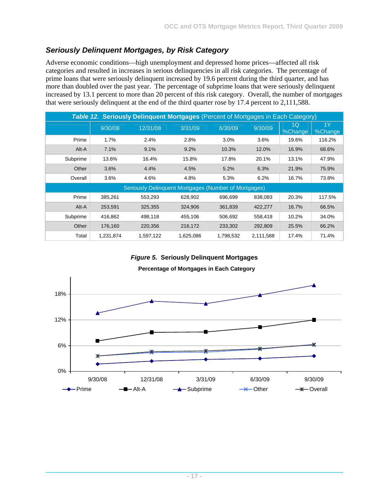# *Seriously Delinquent Mortgages, by Risk Category*

Adverse economic conditions—high unemployment and depressed home prices—affected all risk categories and resulted in increases in serious delinquencies in all risk categories. The percentage of prime loans that were seriously delinquent increased by 19.6 percent during the third quarter, and has more than doubled over the past year. The percentage of subprime loans that were seriously delinquent increased by 13.1 percent to more than 20 percent of this risk category. Overall, the number of mortgages that were seriously delinquent at the end of the third quarter rose by 17.4 percent to 2,111,588.

|          | Table 12. Seriously Delinquent Mortgages (Percent of Mortgages in Each Category) |                                                      |           |           |           |               |               |  |  |  |
|----------|----------------------------------------------------------------------------------|------------------------------------------------------|-----------|-----------|-----------|---------------|---------------|--|--|--|
|          | 9/30/08                                                                          | 12/31/08                                             | 3/31/09   | 6/30/09   | 9/30/09   | 1Q<br>%Change | 1Y<br>%Change |  |  |  |
| Prime    | 1.7%                                                                             | 2.4%                                                 | 2.8%      | 3.0%      | 3.6%      | 19.6%         | 116.2%        |  |  |  |
| Alt-A    | 7.1%                                                                             | 9.1%                                                 | 9.2%      | 10.3%     | 12.0%     | 16.9%         | 68.6%         |  |  |  |
| Subprime | 13.6%                                                                            | 16.4%                                                | 15.8%     | 17.8%     | 20.1%     | 13.1%         | 47.9%         |  |  |  |
| Other    | 3.6%                                                                             | 4.4%                                                 | 4.5%      | 5.2%      | 6.3%      | 21.9%         | 75.9%         |  |  |  |
| Overall  | 3.6%                                                                             | 4.6%                                                 | 4.8%      | 5.3%      | 6.2%      | 16.7%         | 73.8%         |  |  |  |
|          |                                                                                  | Seriously Delinquent Mortgages (Number of Mortgages) |           |           |           |               |               |  |  |  |
| Prime    | 385,261                                                                          | 553,293                                              | 628,902   | 696,699   | 838,083   | 20.3%         | 117.5%        |  |  |  |
| Alt-A    | 253,591                                                                          | 325,355                                              | 324,906   | 361,839   | 422,277   | 16.7%         | 66.5%         |  |  |  |
| Subprime | 416,862                                                                          | 498,118                                              | 455,106   | 506,692   | 558,419   | 10.2%         | 34.0%         |  |  |  |
| Other    | 176,160                                                                          | 220.356                                              | 216,172   | 233.302   | 292,809   | 25.5%         | 66.2%         |  |  |  |
| Total    | 1,231,874                                                                        | 1,597,122                                            | 1,625,086 | 1,798,532 | 2,111,588 | 17.4%         | 71.4%         |  |  |  |

*Figure 5.* **Seriously Delinquent Mortgages** 

**Percentage of Mortgages in Each Category**

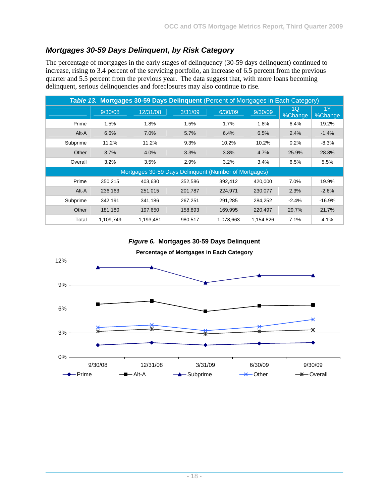## *Mortgages 30-59 Days Delinquent, by Risk Category*

The percentage of mortgages in the early stages of delinquency (30-59 days delinquent) continued to increase, rising to 3.4 percent of the servicing portfolio, an increase of 6.5 percent from the previous quarter and 5.5 percent from the previous year. The data suggest that, with more loans becoming delinquent, serious delinquencies and foreclosures may also continue to rise.

| Table 13. Mortgages 30-59 Days Delinquent (Percent of Mortgages in Each Category) |           |                                                       |         |           |           |               |               |  |  |  |
|-----------------------------------------------------------------------------------|-----------|-------------------------------------------------------|---------|-----------|-----------|---------------|---------------|--|--|--|
|                                                                                   | 9/30/08   | 12/31/08                                              | 3/31/09 | 6/30/09   | 9/30/09   | 1Q<br>%Change | 1Y<br>%Change |  |  |  |
| Prime                                                                             | 1.5%      | 1.8%                                                  | 1.5%    | 1.7%      | 1.8%      | 6.4%          | 19.2%         |  |  |  |
| Alt-A                                                                             | 6.6%      | 7.0%                                                  | 5.7%    | 6.4%      | 6.5%      | 2.4%          | $-1.4%$       |  |  |  |
| Subprime                                                                          | 11.2%     | 11.2%                                                 | 9.3%    | 10.2%     | 10.2%     | 0.2%          | $-8.3%$       |  |  |  |
| Other                                                                             | 3.7%      | 4.0%                                                  | 3.3%    | 3.8%      | 4.7%      | 25.9%         | 28.8%         |  |  |  |
| Overall                                                                           | 3.2%      | 3.5%                                                  | 2.9%    | 3.2%      | 3.4%      | 6.5%          | 5.5%          |  |  |  |
|                                                                                   |           | Mortgages 30-59 Days Delinquent (Number of Mortgages) |         |           |           |               |               |  |  |  |
| Prime                                                                             | 350,215   | 403,630                                               | 352,586 | 392,412   | 420,000   | 7.0%          | 19.9%         |  |  |  |
| Alt-A                                                                             | 236,163   | 251,015                                               | 201,787 | 224,971   | 230,077   | 2.3%          | $-2.6%$       |  |  |  |
| Subprime                                                                          | 342,191   | 341,186                                               | 267,251 | 291.285   | 284,252   | $-2.4%$       | $-16.9%$      |  |  |  |
| Other                                                                             | 181,180   | 197,650                                               | 158,893 | 169,995   | 220,497   | 29.7%         | 21.7%         |  |  |  |
| Total                                                                             | 1,109,749 | 1,193,481                                             | 980.517 | 1,078,663 | 1,154,826 | 7.1%          | 4.1%          |  |  |  |

*Figure 6.* **Mortgages 30-59 Days Delinquent** 

**Percentage of Mortgages in Each Category**

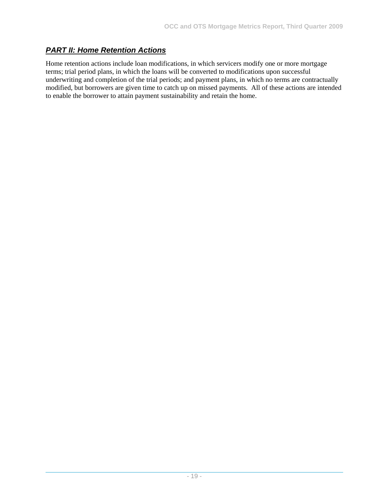## *PART II: Home Retention Actions*

Home retention actions include loan modifications, in which servicers modify one or more mortgage terms; trial period plans, in which the loans will be converted to modifications upon successful underwriting and completion of the trial periods; and payment plans, in which no terms are contractually modified, but borrowers are given time to catch up on missed payments. All of these actions are intended to enable the borrower to attain payment sustainability and retain the home.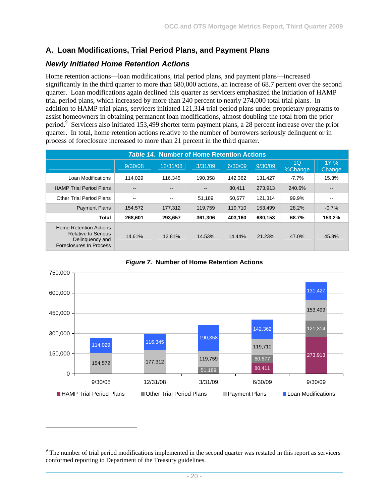## **A. Loan Modifications, Trial Period Plans, and Payment Plans**

#### *Newly Initiated Home Retention Actions*

-

Home retention actions—loan modifications, trial period plans, and payment plans—increased significantly in the third quarter to more than 680,000 actions, an increase of 68.7 percent over the second quarter. Loan modifications again declined this quarter as servicers emphasized the initiation of HAMP trial period plans, which increased by more than 240 percent to nearly 274,000 total trial plans. In addition to HAMP trial plans, servicers initiated 121,314 trial period plans under proprietary programs to assist homeowners in obtaining permanent loan modifications, almost doubling the total from the prior period.<sup>9</sup> Servicers also initiated 153,499 shorter term payment plans, a 28 percent increase over the prior quarter. In total, home retention actions relative to the number of borrowers seriously delinquent or in process of foreclosure increased to more than 21 percent in the third quarter.

| <b>Table 14. Number of Home Retention Actions</b>                                                         |         |          |         |         |         |               |                |  |  |  |
|-----------------------------------------------------------------------------------------------------------|---------|----------|---------|---------|---------|---------------|----------------|--|--|--|
|                                                                                                           | 9/30/08 | 12/31/08 | 3/31/09 | 6/30/09 | 9/30/09 | 1Q<br>%Change | 1Y %<br>Change |  |  |  |
| Loan Modifications                                                                                        | 114.029 | 116.345  | 190.358 | 142.362 | 131.427 | $-7.7%$       | 15.3%          |  |  |  |
| <b>HAMP Trial Period Plans</b>                                                                            |         |          |         | 80.411  | 273.913 | 240.6%        | $- -$          |  |  |  |
| <b>Other Trial Period Plans</b>                                                                           | --      | --       | 51.189  | 60.677  | 121.314 | 99.9%         | $- -$          |  |  |  |
| <b>Payment Plans</b>                                                                                      | 154.572 | 177.312  | 119.759 | 119.710 | 153.499 | 28.2%         | $-0.7%$        |  |  |  |
| Total                                                                                                     | 268,601 | 293,657  | 361,306 | 403.160 | 680,153 | 68.7%         | 153.2%         |  |  |  |
| <b>Home Retention Actions</b><br><b>Relative to Serious</b><br>Delinguency and<br>Foreclosures In Process | 14.61%  | 12.81%   | 14.53%  | 14.44%  | 21.23%  | 47.0%         | 45.3%          |  |  |  |



*Figure 7.* **Number of Home Retention Actions** 

 $9<sup>9</sup>$  The number of trial period modifications implemented in the second quarter was restated in this report as servicers conformed reporting to Department of the Treasury guidelines.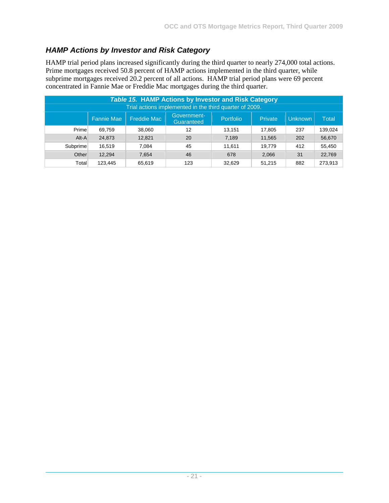# *HAMP Actions by Investor and Risk Category*

HAMP trial period plans increased significantly during the third quarter to nearly 274,000 total actions. Prime mortgages received 50.8 percent of HAMP actions implemented in the third quarter, while subprime mortgages received 20.2 percent of all actions. HAMP trial period plans were 69 percent concentrated in Fannie Mae or Freddie Mac mortgages during the third quarter.

| <b>Table 15. HAMP Actions by Investor and Risk Category</b><br>Trial actions implemented in the third quarter of 2009. |                   |             |                           |           |         |         |         |  |  |  |
|------------------------------------------------------------------------------------------------------------------------|-------------------|-------------|---------------------------|-----------|---------|---------|---------|--|--|--|
|                                                                                                                        | <b>Fannie Mae</b> | Freddie Mac | Government-<br>Guaranteed | Portfolio | Private | Unknown | Total   |  |  |  |
| Prime                                                                                                                  | 69,759            | 38,060      | 12                        | 13.151    | 17,805  | 237     | 139,024 |  |  |  |
| Alt-A                                                                                                                  | 24,873            | 12,821      | 20                        | 7,189     | 11,565  | 202     | 56,670  |  |  |  |
| Subprime                                                                                                               | 16,519            | 7.084       | 45                        | 11.611    | 19,779  | 412     | 55,450  |  |  |  |
| Other                                                                                                                  | 12.294            | 7.654       | 46                        | 678       | 2,066   | 31      | 22,769  |  |  |  |
| Total                                                                                                                  | 123,445           | 65,619      | 123                       | 32,629    | 51,215  | 882     | 273,913 |  |  |  |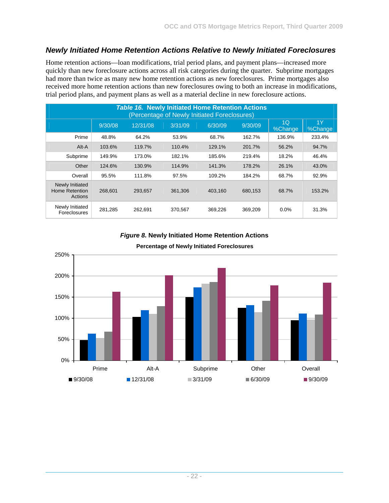## *Newly Initiated Home Retention Actions Relative to Newly Initiated Foreclosures*

Home retention actions—loan modifications, trial period plans, and payment plans—increased more quickly than new foreclosure actions across all risk categories during the quarter. Subprime mortgages had more than twice as many new home retention actions as new foreclosures. Prime mortgages also received more home retention actions than new foreclosures owing to both an increase in modifications, trial period plans, and payment plans as well as a material decline in new foreclosure actions.

| <b>Table 16. Newly Initiated Home Retention Actions</b><br>(Percentage of Newly Initiated Foreclosures) |         |          |         |         |         |                           |               |  |  |  |
|---------------------------------------------------------------------------------------------------------|---------|----------|---------|---------|---------|---------------------------|---------------|--|--|--|
|                                                                                                         | 9/30/08 | 12/31/08 | 3/31/09 | 6/30/09 | 9/30/09 | 1 <sub>O</sub><br>%Change | 1Y<br>%Change |  |  |  |
| Prime                                                                                                   | 48.8%   | 64.2%    | 53.9%   | 68.7%   | 162.7%  | 136.9%                    | 233.4%        |  |  |  |
| Alt-A                                                                                                   | 103.6%  | 119.7%   | 110.4%  | 129.1%  | 201.7%  | 56.2%                     | 94.7%         |  |  |  |
| Subprime                                                                                                | 149.9%  | 173.0%   | 182.1%  | 185.6%  | 219.4%  | 18.2%                     | 46.4%         |  |  |  |
| Other                                                                                                   | 124.6%  | 130.9%   | 114.9%  | 141.3%  | 178.2%  | 26.1%                     | 43.0%         |  |  |  |
| Overall                                                                                                 | 95.5%   | 111.8%   | 97.5%   | 109.2%  | 184.2%  | 68.7%                     | 92.9%         |  |  |  |
| Newly Initiated<br>Home Retention<br>Actions                                                            | 268,601 | 293,657  | 361,306 | 403,160 | 680,153 | 68.7%                     | 153.2%        |  |  |  |
| Newly Initiated<br><b>Foreclosures</b>                                                                  | 281,285 | 262,691  | 370,567 | 369,226 | 369,209 | 0.0%                      | 31.3%         |  |  |  |

*Figure 8.* **Newly Initiated Home Retention Actions** 



#### **Percentage of Newly Initiated Foreclosures**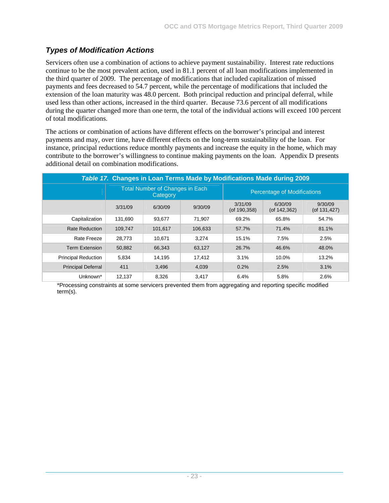# *Types of Modification Actions*

Servicers often use a combination of actions to achieve payment sustainability. Interest rate reductions continue to be the most prevalent action, used in 81.1 percent of all loan modifications implemented in the third quarter of 2009. The percentage of modifications that included capitalization of missed payments and fees decreased to 54.7 percent, while the percentage of modifications that included the extension of the loan maturity was 48.0 percent. Both principal reduction and principal deferral, while used less than other actions, increased in the third quarter. Because 73.6 percent of all modifications during the quarter changed more than one term, the total of the individual actions will exceed 100 percent of total modifications.

The actions or combination of actions have different effects on the borrower's principal and interest payments and may, over time, have different effects on the long-term sustainability of the loan. For instance, principal reductions reduce monthly payments and increase the equity in the home, which may contribute to the borrower's willingness to continue making payments on the loan. Appendix D presents additional detail on combination modifications.

| Table 17. Changes in Loan Terms Made by Modifications Made during 2009 |         |                                                    |         |                               |                                    |                               |  |  |  |  |
|------------------------------------------------------------------------|---------|----------------------------------------------------|---------|-------------------------------|------------------------------------|-------------------------------|--|--|--|--|
|                                                                        |         | <b>Total Number of Changes in Each</b><br>Category |         |                               | <b>Percentage of Modifications</b> |                               |  |  |  |  |
|                                                                        | 3/31/09 | 6/30/09                                            | 9/30/09 | 3/31/09<br>$($ of 190,358 $)$ | 6/30/09<br>$($ of 142,362 $)$      | 9/30/09<br>$($ of 131,427 $)$ |  |  |  |  |
| Capitalization                                                         | 131.690 | 93.677                                             | 71.907  | 69.2%                         | 65.8%                              | 54.7%                         |  |  |  |  |
| <b>Rate Reduction</b>                                                  | 109,747 | 101,617                                            | 106,633 | 57.7%                         | 71.4%                              | 81.1%                         |  |  |  |  |
| Rate Freeze                                                            | 28,773  | 10.671                                             | 3.274   | 15.1%                         | 7.5%                               | 2.5%                          |  |  |  |  |
| <b>Term Extension</b>                                                  | 50,882  | 66.343                                             | 63,127  | 26.7%                         | 46.6%                              | 48.0%                         |  |  |  |  |
| <b>Principal Reduction</b>                                             | 5.834   | 14.195                                             | 17.412  | 3.1%                          | 10.0%                              | 13.2%                         |  |  |  |  |
| <b>Principal Deferral</b>                                              | 411     | 3.496                                              | 4.039   | 0.2%                          | 2.5%                               | 3.1%                          |  |  |  |  |
| Unknown*                                                               | 12.137  | 8.326                                              | 3.417   | 6.4%                          | 5.8%                               | 2.6%                          |  |  |  |  |

\*Processing constraints at some servicers prevented them from aggregating and reporting specific modified term(s).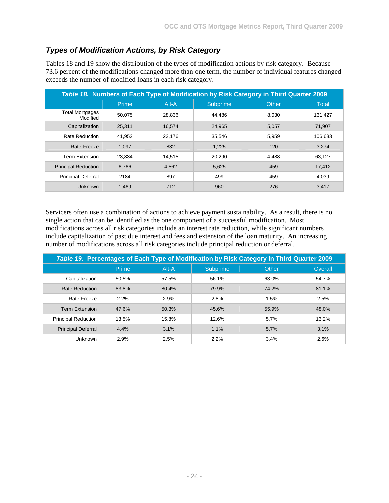# *Types of Modification Actions, by Risk Category*

Tables 18 and 19 show the distribution of the types of modification actions by risk category. Because 73.6 percent of the modifications changed more than one term, the number of individual features changed exceeds the number of modified loans in each risk category.

| Table 18. Numbers of Each Type of Modification by Risk Category in Third Quarter 2009 |        |        |          |                    |              |  |  |  |  |
|---------------------------------------------------------------------------------------|--------|--------|----------|--------------------|--------------|--|--|--|--|
|                                                                                       | Prime  | Alt-A  | Subprime | Other <sub>i</sub> | <b>Total</b> |  |  |  |  |
| <b>Total Mortgages</b><br>Modified                                                    | 50,075 | 28,836 | 44.486   | 8.030              | 131,427      |  |  |  |  |
| Capitalization                                                                        | 25,311 | 16.574 | 24.965   | 5,057              | 71.907       |  |  |  |  |
| <b>Rate Reduction</b>                                                                 | 41,952 | 23,176 | 35.546   | 5.959              | 106,633      |  |  |  |  |
| Rate Freeze                                                                           | 1,097  | 832    | 1,225    | 120                | 3,274        |  |  |  |  |
| <b>Term Extension</b>                                                                 | 23,834 | 14,515 | 20,290   | 4.488              | 63,127       |  |  |  |  |
| <b>Principal Reduction</b>                                                            | 6,766  | 4,562  | 5,625    | 459                | 17,412       |  |  |  |  |
| <b>Principal Deferral</b>                                                             | 2184   | 897    | 499      | 459                | 4,039        |  |  |  |  |
| Unknown                                                                               | 1,469  | 712    | 960      | 276                | 3,417        |  |  |  |  |

Servicers often use a combination of actions to achieve payment sustainability. As a result, there is no single action that can be identified as the one component of a successful modification. Most modifications across all risk categories include an interest rate reduction, while significant numbers include capitalization of past due interest and fees and extension of the loan maturity. An increasing number of modifications across all risk categories include principal reduction or deferral.

| Table 19. Percentages of Each Type of Modification by Risk Category in Third Quarter 2009 |       |         |                 |              |         |  |  |  |  |  |
|-------------------------------------------------------------------------------------------|-------|---------|-----------------|--------------|---------|--|--|--|--|--|
|                                                                                           | Prime | $Alt-A$ | <b>Subprime</b> | <b>Other</b> | Overall |  |  |  |  |  |
| Capitalization                                                                            | 50.5% | 57.5%   | 56.1%           | 63.0%        | 54.7%   |  |  |  |  |  |
| <b>Rate Reduction</b>                                                                     | 83.8% | 80.4%   | 79.9%           | 74.2%        | 81.1%   |  |  |  |  |  |
| Rate Freeze                                                                               | 2.2%  | 2.9%    | 2.8%            | 1.5%         | 2.5%    |  |  |  |  |  |
| <b>Term Extension</b>                                                                     | 47.6% | 50.3%   | 45.6%           | 55.9%        | 48.0%   |  |  |  |  |  |
| <b>Principal Reduction</b>                                                                | 13.5% | 15.8%   | 12.6%           | 5.7%         | 13.2%   |  |  |  |  |  |
| <b>Principal Deferral</b>                                                                 | 4.4%  | 3.1%    | 1.1%            | 5.7%         | 3.1%    |  |  |  |  |  |
| <b>Unknown</b>                                                                            | 2.9%  | 2.5%    | 2.2%            | 3.4%         | 2.6%    |  |  |  |  |  |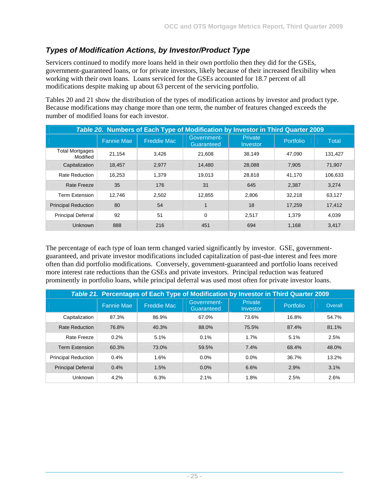# *Types of Modification Actions, by Investor/Product Type*

Servicers continued to modify more loans held in their own portfolio then they did for the GSEs, government-guaranteed loans, or for private investors, likely because of their increased flexibility when working with their own loans. Loans serviced for the GSEs accounted for 18.7 percent of all modifications despite making up about 63 percent of the servicing portfolio.

Tables 20 and 21 show the distribution of the types of modification actions by investor and product type. Because modifications may change more than one term, the number of features changed exceeds the number of modified loans for each investor.

|                                    | Table 20. Numbers of Each Type of Modification by Investor in Third Quarter 2009 |                    |                           |                            |           |         |  |  |  |  |
|------------------------------------|----------------------------------------------------------------------------------|--------------------|---------------------------|----------------------------|-----------|---------|--|--|--|--|
|                                    | <b>Fannie Mae</b>                                                                | <b>Freddie Mac</b> | Government-<br>Guaranteed | <b>Private</b><br>Investor | Portfolio | Total   |  |  |  |  |
| <b>Total Mortgages</b><br>Modified | 21,154                                                                           | 3.426              | 21.608                    | 38.149                     | 47.090    | 131.427 |  |  |  |  |
| Capitalization                     | 18.457                                                                           | 2.977              | 14.480                    | 28,088                     | 7,905     | 71,907  |  |  |  |  |
| <b>Rate Reduction</b>              | 16.253                                                                           | 1.379              | 19.013                    | 28.818                     | 41,170    | 106.633 |  |  |  |  |
| Rate Freeze                        | 35                                                                               | 176                | 31                        | 645                        | 2,387     | 3,274   |  |  |  |  |
| <b>Term Extension</b>              | 12.746                                                                           | 2,502              | 12,855                    | 2,806                      | 32,218    | 63,127  |  |  |  |  |
| <b>Principal Reduction</b>         | 80                                                                               | 54                 |                           | 18                         | 17,259    | 17,412  |  |  |  |  |
| <b>Principal Deferral</b>          | 92                                                                               | 51                 | $\Omega$                  | 2.517                      | 1.379     | 4,039   |  |  |  |  |
| Unknown                            | 888                                                                              | 216                | 451                       | 694                        | 1.168     | 3.417   |  |  |  |  |

The percentage of each type of loan term changed varied significantly by investor. GSE, governmentguaranteed, and private investor modifications included capitalization of past-due interest and fees more often than did portfolio modifications. Conversely, government-guaranteed and portfolio loans received more interest rate reductions than the GSEs and private investors. Principal reduction was featured prominently in portfolio loans, while principal deferral was used most often for private investor loans.

| Table 21. Percentages of Each Type of Modification by Investor in Third Quarter 2009 |                   |                    |                           |                            |                  |         |  |  |  |
|--------------------------------------------------------------------------------------|-------------------|--------------------|---------------------------|----------------------------|------------------|---------|--|--|--|
|                                                                                      | <b>Fannie Mae</b> | <b>Freddie Mac</b> | Government-<br>Guaranteed | <b>Private</b><br>Investor | <b>Portfolio</b> | Overall |  |  |  |
| Capitalization                                                                       | 87.3%             | 86.9%              | 67.0%                     | 73.6%                      | 16.8%            | 54.7%   |  |  |  |
| <b>Rate Reduction</b>                                                                | 76.8%             | 40.3%              | 88.0%                     | 75.5%                      | 87.4%            | 81.1%   |  |  |  |
| Rate Freeze                                                                          | 0.2%              | 5.1%               | 0.1%                      | 1.7%                       | 5.1%             | 2.5%    |  |  |  |
| <b>Term Extension</b>                                                                | 60.3%             | 73.0%              | 59.5%                     | 7.4%                       | 68.4%            | 48.0%   |  |  |  |
| <b>Principal Reduction</b>                                                           | 0.4%              | 1.6%               | $0.0\%$                   | 0.0%                       | 36.7%            | 13.2%   |  |  |  |
| <b>Principal Deferral</b>                                                            | 0.4%              | 1.5%               | 0.0%                      | 6.6%                       | 2.9%             | 3.1%    |  |  |  |
| Unknown                                                                              | 4.2%              | 6.3%               | 2.1%                      | 1.8%                       | 2.5%             | 2.6%    |  |  |  |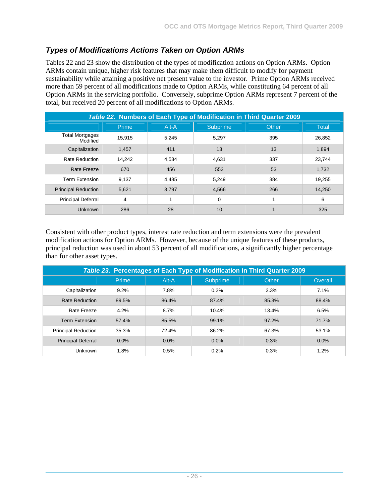# *Types of Modifications Actions Taken on Option ARMs*

Tables 22 and 23 show the distribution of the types of modification actions on Option ARMs. Option ARMs contain unique, higher risk features that may make them difficult to modify for payment sustainability while attaining a positive net present value to the investor. Prime Option ARMs received more than 59 percent of all modifications made to Option ARMs, while constituting 64 percent of all Option ARMs in the servicing portfolio. Conversely, subprime Option ARMs represent 7 percent of the total, but received 20 percent of all modifications to Option ARMs.

|                                    |        |       |                 | Table 22. Numbers of Each Type of Modification in Third Quarter 2009 |              |
|------------------------------------|--------|-------|-----------------|----------------------------------------------------------------------|--------------|
|                                    | Prime  | Alt-A | <b>Subprime</b> | <b>Other</b>                                                         | <b>Total</b> |
| <b>Total Mortgages</b><br>Modified | 15,915 | 5.245 | 5.297           | 395                                                                  | 26,852       |
| Capitalization                     | 1,457  | 411   | 13              | 13                                                                   | 1,894        |
| <b>Rate Reduction</b>              | 14,242 | 4,534 | 4.631           | 337                                                                  | 23,744       |
| Rate Freeze                        | 670    | 456   | 553             | 53                                                                   | 1,732        |
| <b>Term Extension</b>              | 9,137  | 4.485 | 5,249           | 384                                                                  | 19,255       |
| <b>Principal Reduction</b>         | 5,621  | 3.797 | 4.566           | 266                                                                  | 14,250       |
| <b>Principal Deferral</b>          | 4      |       | $\Omega$        |                                                                      | 6            |
| <b>Unknown</b>                     | 286    | 28    | 10              |                                                                      | 325          |

Consistent with other product types, interest rate reduction and term extensions were the prevalent modification actions for Option ARMs. However, because of the unique features of these products, principal reduction was used in about 53 percent of all modifications, a significantly higher percentage than for other asset types.

| Table 23. Percentages of Each Type of Modification in Third Quarter 2009 |         |       |          |              |         |  |  |  |  |  |
|--------------------------------------------------------------------------|---------|-------|----------|--------------|---------|--|--|--|--|--|
|                                                                          | Prime   | Alt-A | Subprime | <b>Other</b> | Overall |  |  |  |  |  |
| Capitalization                                                           | 9.2%    | 7.8%  | 0.2%     | 3.3%         | 7.1%    |  |  |  |  |  |
| <b>Rate Reduction</b>                                                    | 89.5%   | 86.4% | 87.4%    | 85.3%        | 88.4%   |  |  |  |  |  |
| Rate Freeze                                                              | 4.2%    | 8.7%  | 10.4%    | 13.4%        | 6.5%    |  |  |  |  |  |
| <b>Term Extension</b>                                                    | 57.4%   | 85.5% | 99.1%    | 97.2%        | 71.7%   |  |  |  |  |  |
| <b>Principal Reduction</b>                                               | 35.3%   | 72.4% | 86.2%    | 67.3%        | 53.1%   |  |  |  |  |  |
| <b>Principal Deferral</b>                                                | $0.0\%$ | 0.0%  | 0.0%     | 0.3%         | 0.0%    |  |  |  |  |  |
| Unknown                                                                  | 1.8%    | 0.5%  | 0.2%     | 0.3%         | 1.2%    |  |  |  |  |  |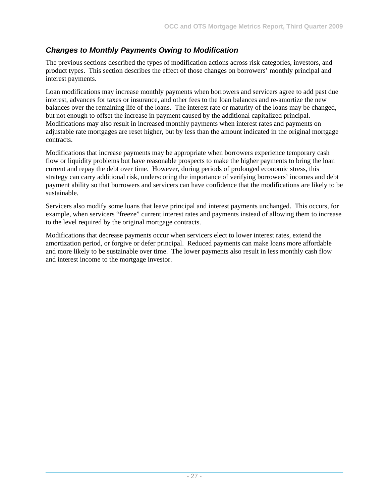## *Changes to Monthly Payments Owing to Modification*

The previous sections described the types of modification actions across risk categories, investors, and product types. This section describes the effect of those changes on borrowers' monthly principal and interest payments.

Loan modifications may increase monthly payments when borrowers and servicers agree to add past due interest, advances for taxes or insurance, and other fees to the loan balances and re-amortize the new balances over the remaining life of the loans. The interest rate or maturity of the loans may be changed, but not enough to offset the increase in payment caused by the additional capitalized principal. Modifications may also result in increased monthly payments when interest rates and payments on adjustable rate mortgages are reset higher, but by less than the amount indicated in the original mortgage contracts.

Modifications that increase payments may be appropriate when borrowers experience temporary cash flow or liquidity problems but have reasonable prospects to make the higher payments to bring the loan current and repay the debt over time. However, during periods of prolonged economic stress, this strategy can carry additional risk, underscoring the importance of verifying borrowers' incomes and debt payment ability so that borrowers and servicers can have confidence that the modifications are likely to be sustainable.

Servicers also modify some loans that leave principal and interest payments unchanged. This occurs, for example, when servicers "freeze" current interest rates and payments instead of allowing them to increase to the level required by the original mortgage contracts.

Modifications that decrease payments occur when servicers elect to lower interest rates, extend the amortization period, or forgive or defer principal. Reduced payments can make loans more affordable and more likely to be sustainable over time. The lower payments also result in less monthly cash flow and interest income to the mortgage investor.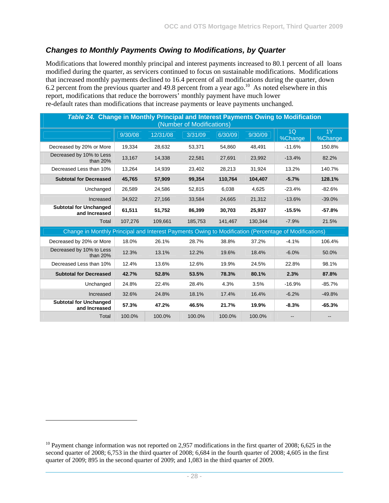#### *Changes to Monthly Payments Owing to Modifications, by Quarter*

Modifications that lowered monthly principal and interest payments increased to 80.1 percent of all loans modified during the quarter, as servicers continued to focus on sustainable modifications. Modifications that increased monthly payments declined to 16.4 percent of all modifications during the quarter, down 6.2 percent from the previous quarter and 49.8 percent from a year ago.<sup>10</sup> As noted elsewhere in this report, modifications that reduce the borrowers' monthly payment have much lower re-default rates than modifications that increase payments or leave payments unchanged.

| Table 24. Change in Monthly Principal and Interest Payments Owing to Modification<br>(Number of Modifications) |         |          |         |         |         |               |               |  |  |  |
|----------------------------------------------------------------------------------------------------------------|---------|----------|---------|---------|---------|---------------|---------------|--|--|--|
|                                                                                                                | 9/30/08 | 12/31/08 | 3/31/09 | 6/30/09 | 9/30/09 | 1Q<br>%Change | 1Y<br>%Change |  |  |  |
| Decreased by 20% or More                                                                                       | 19,334  | 28.632   | 53.371  | 54.860  | 48.491  | $-11.6%$      | 150.8%        |  |  |  |
| Decreased by 10% to Less<br>than $20%$                                                                         | 13,167  | 14,338   | 22,581  | 27,691  | 23,992  | $-13.4%$      | 82.2%         |  |  |  |
| Decreased Less than 10%                                                                                        | 13,264  | 14,939   | 23,402  | 28,213  | 31,924  | 13.2%         | 140.7%        |  |  |  |
| <b>Subtotal for Decreased</b>                                                                                  | 45,765  | 57,909   | 99,354  | 110,764 | 104,407 | $-5.7%$       | 128.1%        |  |  |  |
| Unchanged                                                                                                      | 26,589  | 24,586   | 52,815  | 6,038   | 4,625   | $-23.4%$      | $-82.6%$      |  |  |  |
| Increased                                                                                                      | 34,922  | 27,166   | 33,584  | 24,665  | 21,312  | $-13.6%$      | $-39.0%$      |  |  |  |
| <b>Subtotal for Unchanged</b><br>and Increased                                                                 | 61,511  | 51,752   | 86,399  | 30,703  | 25,937  | $-15.5%$      | $-57.8%$      |  |  |  |
| Total                                                                                                          | 107,276 | 109,661  | 185,753 | 141,467 | 130,344 | $-7.9%$       | 21.5%         |  |  |  |
| Change in Monthly Principal and Interest Payments Owing to Modification (Percentage of Modifications)          |         |          |         |         |         |               |               |  |  |  |
| Decreased by 20% or More                                                                                       | 18.0%   | 26.1%    | 28.7%   | 38.8%   | 37.2%   | $-4.1%$       | 106.4%        |  |  |  |
| Decreased by 10% to Less<br>than $20%$                                                                         | 12.3%   | 13.1%    | 12.2%   | 19.6%   | 18.4%   | $-6.0%$       | 50.0%         |  |  |  |
| Decreased Less than 10%                                                                                        | 12.4%   | 13.6%    | 12.6%   | 19.9%   | 24.5%   | 22.8%         | 98.1%         |  |  |  |
| <b>Subtotal for Decreased</b>                                                                                  | 42.7%   | 52.8%    | 53.5%   | 78.3%   | 80.1%   | 2.3%          | 87.8%         |  |  |  |
| Unchanged                                                                                                      | 24.8%   | 22.4%    | 28.4%   | 4.3%    | 3.5%    | $-16.9%$      | $-85.7%$      |  |  |  |
| Increased                                                                                                      | 32.6%   | 24.8%    | 18.1%   | 17.4%   | 16.4%   | $-6.2%$       | $-49.8%$      |  |  |  |
| <b>Subtotal for Unchanged</b><br>and Increased                                                                 | 57.3%   | 47.2%    | 46.5%   | 21.7%   | 19.9%   | $-8.3%$       | $-65.3%$      |  |  |  |
| Total                                                                                                          | 100.0%  | 100.0%   | 100.0%  | 100.0%  | 100.0%  |               |               |  |  |  |

l

<sup>&</sup>lt;sup>10</sup> Payment change information was not reported on 2,957 modifications in the first quarter of 2008; 6,625 in the second quarter of 2008; 6,753 in the third quarter of 2008; 6,684 in the fourth quarter of 2008; 4,605 in the first quarter of 2009; 895 in the second quarter of 2009; and 1,083 in the third quarter of 2009.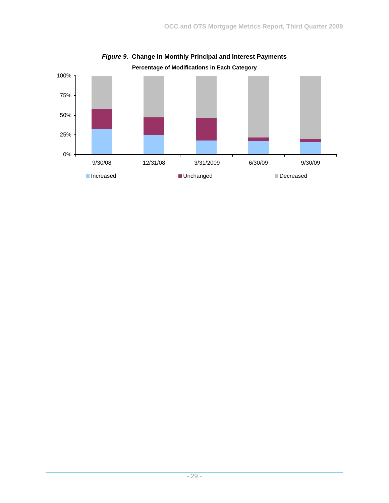

*Figure 9.* **Change in Monthly Principal and Interest Payments**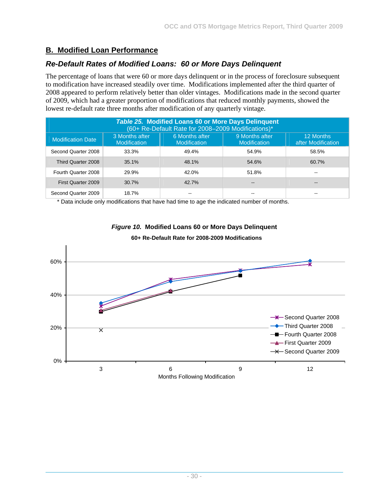## **B. Modified Loan Performance**

#### *Re-Default Rates of Modified Loans: 60 or More Days Delinquent*

The percentage of loans that were 60 or more days delinquent or in the process of foreclosure subsequent to modification have increased steadily over time. Modifications implemented after the third quarter of 2008 appeared to perform relatively better than older vintages. Modifications made in the second quarter of 2009, which had a greater proportion of modifications that reduced monthly payments, showed the lowest re-default rate three months after modification of any quarterly vintage.

| <b>Table 25. Modified Loans 60 or More Days Delinguent</b><br>(60+ Re-Default Rate for 2008-2009 Modifications)*                                                                       |       |       |       |                        |  |  |  |  |  |  |
|----------------------------------------------------------------------------------------------------------------------------------------------------------------------------------------|-------|-------|-------|------------------------|--|--|--|--|--|--|
| 9 Months after<br>3 Months after<br>6 Months after<br>12 Months<br><b>Modification Date</b><br>after Modification<br><b>Modification</b><br><b>Modification</b><br><b>Modification</b> |       |       |       |                        |  |  |  |  |  |  |
| Second Quarter 2008                                                                                                                                                                    | 33.3% | 49.4% | 54.9% | 58.5%                  |  |  |  |  |  |  |
| Third Quarter 2008                                                                                                                                                                     | 35.1% | 48.1% | 54.6% | 60.7%                  |  |  |  |  |  |  |
| Fourth Quarter 2008                                                                                                                                                                    | 29.9% | 42.0% | 51.8% | --                     |  |  |  |  |  |  |
| First Quarter 2009                                                                                                                                                                     | 30.7% | 42.7% | --    | $\qquad \qquad \cdots$ |  |  |  |  |  |  |
| Second Quarter 2009                                                                                                                                                                    | 18.7% | --    | --    | --                     |  |  |  |  |  |  |

\* Data include only modifications that have had time to age the indicated number of months.



#### *Figure 10.* **Modified Loans 60 or More Days Delinquent**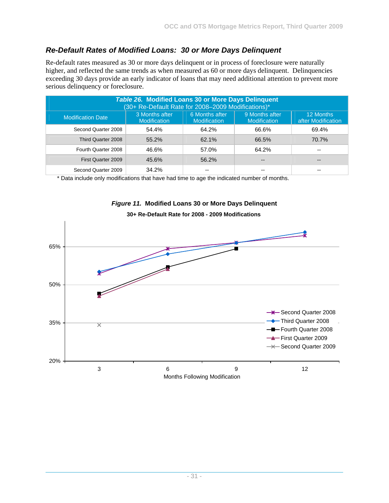# *Re-Default Rates of Modified Loans: 30 or More Days Delinquent*

Re-default rates measured as 30 or more days delinquent or in process of foreclosure were naturally higher, and reflected the same trends as when measured as 60 or more days delinquent. Delinquencies exceeding 30 days provide an early indicator of loans that may need additional attention to prevent more serious delinquency or foreclosure.

| Table 26. Modified Loans 30 or More Days Delinquent<br>(30+ Re-Default Rate for 2008-2009 Modifications)*                                                                              |       |       |       |       |  |  |  |  |  |  |
|----------------------------------------------------------------------------------------------------------------------------------------------------------------------------------------|-------|-------|-------|-------|--|--|--|--|--|--|
| 9 Months after<br>6 Months after<br>3 Months after<br>12 Months<br><b>Modification Date</b><br>after Modification<br><b>Modification</b><br><b>Modification</b><br><b>Modification</b> |       |       |       |       |  |  |  |  |  |  |
| Second Quarter 2008                                                                                                                                                                    | 54.4% | 64.2% | 66.6% | 69.4% |  |  |  |  |  |  |
| Third Quarter 2008                                                                                                                                                                     | 55.2% | 62.1% | 66.5% | 70.7% |  |  |  |  |  |  |
| Fourth Quarter 2008                                                                                                                                                                    | 46.6% | 57.0% | 64.2% | --    |  |  |  |  |  |  |
| First Quarter 2009                                                                                                                                                                     | 45.6% | 56.2% | --    | --    |  |  |  |  |  |  |
| Second Quarter 2009                                                                                                                                                                    | 34.2% |       |       |       |  |  |  |  |  |  |

\* Data include only modifications that have had time to age the indicated number of months.



#### *Figure 11.* **Modified Loans 30 or More Days Delinquent**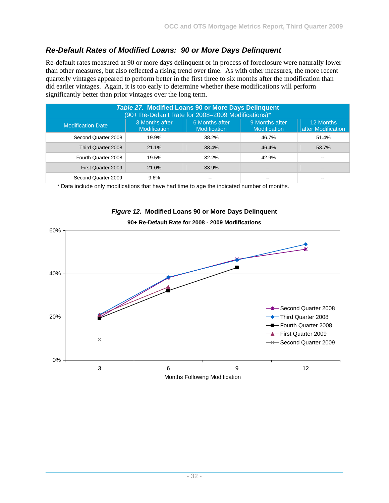## *Re-Default Rates of Modified Loans: 90 or More Days Delinquent*

Re-default rates measured at 90 or more days delinquent or in process of foreclosure were naturally lower than other measures, but also reflected a rising trend over time. As with other measures, the more recent quarterly vintages appeared to perform better in the first three to six months after the modification than did earlier vintages. Again, it is too early to determine whether these modifications will perform significantly better than prior vintages over the long term.

| <b>Table 27. Modified Loans 90 or More Days Delinquent</b><br>(90+ Re-Default Rate for 2008-2009 Modifications)*                                                                       |       |       |                        |       |  |  |  |  |  |  |
|----------------------------------------------------------------------------------------------------------------------------------------------------------------------------------------|-------|-------|------------------------|-------|--|--|--|--|--|--|
| 9 Months after<br>6 Months after<br>3 Months after<br>12 Months<br><b>Modification Date</b><br>after Modification<br><b>Modification</b><br><b>Modification</b><br><b>Modification</b> |       |       |                        |       |  |  |  |  |  |  |
| Second Quarter 2008                                                                                                                                                                    | 19.9% | 38.2% | 46.7%                  | 51.4% |  |  |  |  |  |  |
| Third Quarter 2008                                                                                                                                                                     | 21.1% | 38.4% | 46.4%                  | 53.7% |  |  |  |  |  |  |
| Fourth Quarter 2008                                                                                                                                                                    | 19.5% | 32.2% | 42.9%                  |       |  |  |  |  |  |  |
| First Quarter 2009                                                                                                                                                                     | 21.0% | 33.9% | $\qquad \qquad \cdots$ |       |  |  |  |  |  |  |
| Second Quarter 2009                                                                                                                                                                    | 9.6%  | --    |                        |       |  |  |  |  |  |  |

\* Data include only modifications that have had time to age the indicated number of months.



#### *Figure 12.* **Modified Loans 90 or More Days Delinquent 90+ Re-Default Rate for 2008 - 2009 Modifications**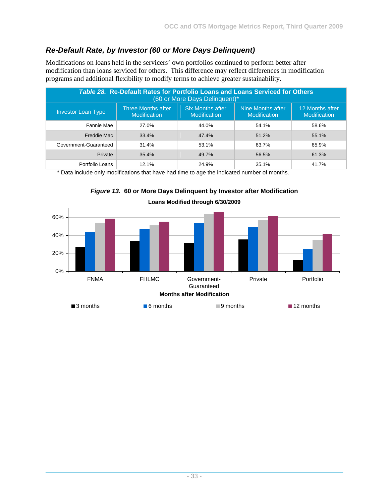# *Re-Default Rate, by Investor (60 or More Days Delinquent)*

Modifications on loans held in the servicers' own portfolios continued to perform better after modification than loans serviced for others. This difference may reflect differences in modification programs and additional flexibility to modify terms to achieve greater sustainability.

| Table 28. Re-Default Rates for Portfolio Loans and Loans Serviced for Others<br>(60 or More Days Delinguent)*                                                                                           |       |       |       |       |  |  |  |  |  |  |
|---------------------------------------------------------------------------------------------------------------------------------------------------------------------------------------------------------|-------|-------|-------|-------|--|--|--|--|--|--|
| <b>Six Months after</b><br>12 Months after<br>Nine Months after<br>Three Months after<br><b>Investor Loan Type</b><br>Modification<br><b>Modification</b><br><b>Modification</b><br><b>Modification</b> |       |       |       |       |  |  |  |  |  |  |
| Fannie Mae                                                                                                                                                                                              | 27.0% | 44.0% | 54.1% | 58.6% |  |  |  |  |  |  |
| Freddie Mac                                                                                                                                                                                             | 33.4% | 47.4% | 51.2% | 55.1% |  |  |  |  |  |  |
| Government-Guaranteed                                                                                                                                                                                   | 31.4% | 53.1% | 63.7% | 65.9% |  |  |  |  |  |  |
| Private                                                                                                                                                                                                 | 35.4% | 49.7% | 56.5% | 61.3% |  |  |  |  |  |  |
| Portfolio Loans                                                                                                                                                                                         | 12.1% | 24.9% | 35.1% | 41.7% |  |  |  |  |  |  |

\* Data include only modifications that have had time to age the indicated number of months.



*Figure 13.* **60 or More Days Delinquent by Investor after Modification**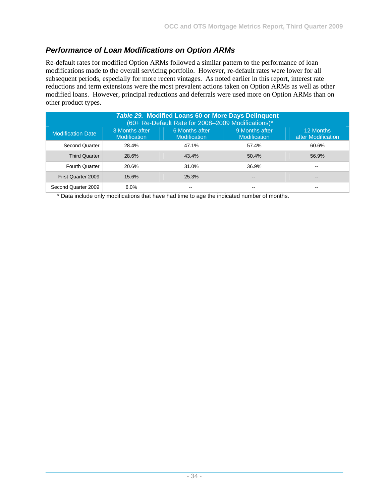# *Performance of Loan Modifications on Option ARMs*

Re-default rates for modified Option ARMs followed a similar pattern to the performance of loan modifications made to the overall servicing portfolio. However, re-default rates were lower for all subsequent periods, especially for more recent vintages. As noted earlier in this report, interest rate reductions and term extensions were the most prevalent actions taken on Option ARMs as well as other modified loans. However, principal reductions and deferrals were used more on Option ARMs than on other product types.

| <b>Table 29. Modified Loans 60 or More Days Delinquent</b><br>(60+ Re-Default Rate for 2008-2009 Modifications)*                                                                       |       |       |       |       |  |  |  |  |  |  |
|----------------------------------------------------------------------------------------------------------------------------------------------------------------------------------------|-------|-------|-------|-------|--|--|--|--|--|--|
| 9 Months after<br>3 Months after<br>6 Months after<br>12 Months<br><b>Modification Date</b><br>after Modification<br><b>Modification</b><br><b>Modification</b><br><b>Modification</b> |       |       |       |       |  |  |  |  |  |  |
| Second Quarter                                                                                                                                                                         | 28.4% | 47.1% | 57.4% | 60.6% |  |  |  |  |  |  |
| <b>Third Quarter</b>                                                                                                                                                                   | 28.6% | 43.4% | 50.4% | 56.9% |  |  |  |  |  |  |
| <b>Fourth Quarter</b>                                                                                                                                                                  | 20.6% | 31.0% | 36.9% | --    |  |  |  |  |  |  |
| First Quarter 2009                                                                                                                                                                     | 15.6% | 25.3% | --    | $- -$ |  |  |  |  |  |  |
| Second Quarter 2009                                                                                                                                                                    | 6.0%  |       |       |       |  |  |  |  |  |  |

\* Data include only modifications that have had time to age the indicated number of months.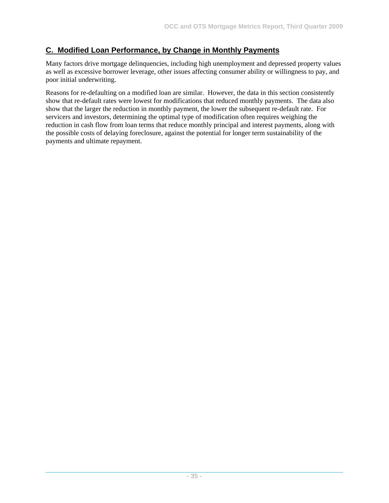# **C. Modified Loan Performance, by Change in Monthly Payments**

Many factors drive mortgage delinquencies, including high unemployment and depressed property values as well as excessive borrower leverage, other issues affecting consumer ability or willingness to pay, and poor initial underwriting.

Reasons for re-defaulting on a modified loan are similar. However, the data in this section consistently show that re-default rates were lowest for modifications that reduced monthly payments. The data also show that the larger the reduction in monthly payment, the lower the subsequent re-default rate. For servicers and investors, determining the optimal type of modification often requires weighing the reduction in cash flow from loan terms that reduce monthly principal and interest payments, along with the possible costs of delaying foreclosure, against the potential for longer term sustainability of the payments and ultimate repayment.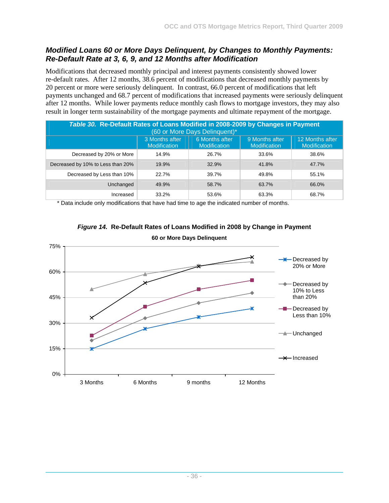#### *Modified Loans 60 or More Days Delinquent, by Changes to Monthly Payments: Re-Default Rate at 3, 6, 9, and 12 Months after Modification*

Modifications that decreased monthly principal and interest payments consistently showed lower re-default rates. After 12 months, 38.6 percent of modifications that decreased monthly payments by 20 percent or more were seriously delinquent. In contrast, 66.0 percent of modifications that left payments unchanged and 68.7 percent of modifications that increased payments were seriously delinquent after 12 months. While lower payments reduce monthly cash flows to mortgage investors, they may also result in longer term sustainability of the mortgage payments and ultimate repayment of the mortgage.

| Table 30. Re-Default Rates of Loans Modified in 2008-2009 by Changes in Payment<br>(60 or More Days Delinquent)*                                           |       |       |       |       |  |  |  |  |  |  |
|------------------------------------------------------------------------------------------------------------------------------------------------------------|-------|-------|-------|-------|--|--|--|--|--|--|
| 6 Months after<br>9 Months after<br>12 Months after<br>3 Months after<br><b>Modification</b><br><b>Modification</b><br>Modification<br><b>Modification</b> |       |       |       |       |  |  |  |  |  |  |
| Decreased by 20% or More                                                                                                                                   | 14.9% | 26.7% | 33.6% | 38.6% |  |  |  |  |  |  |
| Decreased by 10% to Less than 20%                                                                                                                          | 19.9% | 32.9% | 41.8% | 47.7% |  |  |  |  |  |  |
| Decreased by Less than 10%                                                                                                                                 | 22.7% | 39.7% | 49.8% | 55.1% |  |  |  |  |  |  |
| Unchanged                                                                                                                                                  | 49.9% | 58.7% | 63.7% | 66.0% |  |  |  |  |  |  |
| Increased                                                                                                                                                  | 33.2% | 53.6% | 63.3% | 68.7% |  |  |  |  |  |  |

\* Data include only modifications that have had time to age the indicated number of months.



# *Figure 14.* **Re-Default Rates of Loans Modified in 2008 by Change in Payment**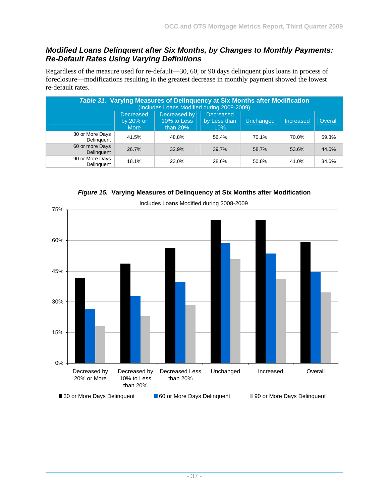#### *Modified Loans Delinquent after Six Months, by Changes to Monthly Payments: Re-Default Rates Using Varying Definitions*

Regardless of the measure used for re-default—30, 60, or 90 days delinquent plus loans in process of foreclosure—modifications resulting in the greatest decrease in monthly payment showed the lowest re-default rates.

| Table 31. Varying Measures of Delinquency at Six Months after Modification<br>(Includes Loans Modified during 2008-2009)                                                      |       |       |       |       |       |       |  |  |  |  |  |  |
|-------------------------------------------------------------------------------------------------------------------------------------------------------------------------------|-------|-------|-------|-------|-------|-------|--|--|--|--|--|--|
| Decreased by<br><b>Decreased</b><br><b>Decreased</b><br>10% to Less<br>Overall<br>by Less than<br>Unchanged<br>Increased<br>by 20% or<br><b>More</b><br>than $20\%$<br>$10\%$ |       |       |       |       |       |       |  |  |  |  |  |  |
| 30 or More Days<br>Delinguent                                                                                                                                                 | 41.5% | 48.8% | 56.4% | 70.1% | 70.0% | 59.3% |  |  |  |  |  |  |
| 60 or more Days<br>Delinguent                                                                                                                                                 | 26.7% | 32.9% | 39.7% | 58.7% | 53.6% | 44.6% |  |  |  |  |  |  |
| 90 or More Days<br>Delinguent                                                                                                                                                 | 18.1% | 23.0% | 28.6% | 50.8% | 41.0% | 34.6% |  |  |  |  |  |  |

*Figure 15.* **Varying Measures of Delinquency at Six Months after Modification** 

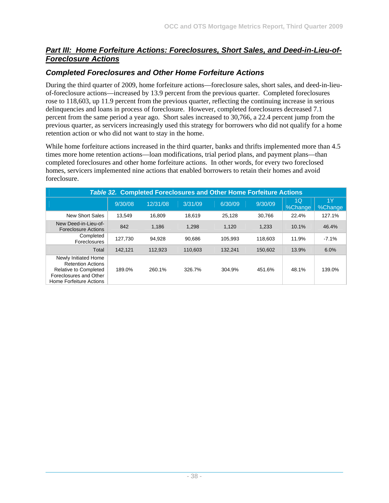#### *Part III: Home Forfeiture Actions: Foreclosures, Short Sales, and Deed-in-Lieu-of-Foreclosure Actions*

## *Completed Foreclosures and Other Home Forfeiture Actions*

During the third quarter of 2009, home forfeiture actions—foreclosure sales, short sales, and deed-in-lieuof-foreclosure actions—increased by 13.9 percent from the previous quarter. Completed foreclosures rose to 118,603, up 11.9 percent from the previous quarter, reflecting the continuing increase in serious delinquencies and loans in process of foreclosure. However, completed foreclosures decreased 7.1 percent from the same period a year ago. Short sales increased to 30,766, a 22.4 percent jump from the previous quarter, as servicers increasingly used this strategy for borrowers who did not qualify for a home retention action or who did not want to stay in the home.

While home forfeiture actions increased in the third quarter, banks and thrifts implemented more than 4.5 times more home retention actions—loan modifications, trial period plans, and payment plans—than completed foreclosures and other home forfeiture actions. In other words, for every two foreclosed homes, servicers implemented nine actions that enabled borrowers to retain their homes and avoid foreclosure.

| <b>Table 32. Completed Foreclosures and Other Home Forfeiture Actions</b>                                                      |         |          |         |         |         |               |               |  |  |  |
|--------------------------------------------------------------------------------------------------------------------------------|---------|----------|---------|---------|---------|---------------|---------------|--|--|--|
|                                                                                                                                | 9/30/08 | 12/31/08 | 3/31/09 | 6/30/09 | 9/30/09 | 1Q<br>%Change | 1Y<br>%Change |  |  |  |
| <b>New Short Sales</b>                                                                                                         | 13.549  | 16.809   | 18.619  | 25.128  | 30.766  | 22.4%         | 127.1%        |  |  |  |
| New Deed-in-Lieu-of-<br><b>Foreclosure Actions</b>                                                                             | 842     | 1,186    | 1,298   | 1,120   | 1,233   | 10.1%         | 46.4%         |  |  |  |
| Completed<br>Foreclosures                                                                                                      | 127.730 | 94.928   | 90.686  | 105.993 | 118.603 | 11.9%         | $-7.1%$       |  |  |  |
| Total                                                                                                                          | 142,121 | 112,923  | 110,603 | 132.241 | 150,602 | 13.9%         | 6.0%          |  |  |  |
| Newly Initiated Home<br><b>Retention Actions</b><br>Relative to Completed<br>Foreclosures and Other<br>Home Forfeiture Actions | 189.0%  | 260.1%   | 326.7%  | 304.9%  | 451.6%  | 48.1%         | 139.0%        |  |  |  |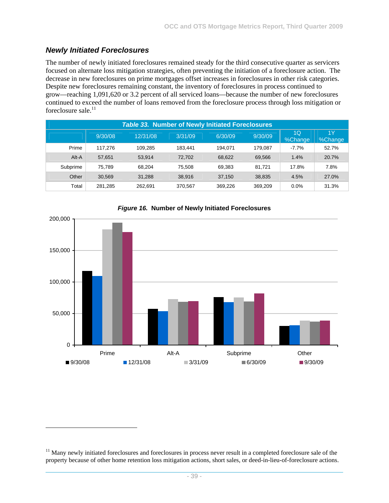#### *Newly Initiated Foreclosures*

-

The number of newly initiated foreclosures remained steady for the third consecutive quarter as servicers focused on alternate loss mitigation strategies, often preventing the initiation of a foreclosure action. The decrease in new foreclosures on prime mortgages offset increases in foreclosures in other risk categories. Despite new foreclosures remaining constant, the inventory of foreclosures in process continued to grow—reaching 1,091,620 or 3.2 percent of all serviced loans—because the number of new foreclosures continued to exceed the number of loans removed from the foreclosure process through loss mitigation or foreclosure sale. $11$ 

| <b>Table 33. Number of Newly Initiated Foreclosures</b> |         |          |         |         |         |               |               |  |  |  |  |
|---------------------------------------------------------|---------|----------|---------|---------|---------|---------------|---------------|--|--|--|--|
|                                                         | 9/30/08 | 12/31/08 | 3/31/09 | 6/30/09 | 9/30/09 | 1Q<br>%Change | 1Y<br>%Change |  |  |  |  |
| Prime                                                   | 117.276 | 109.285  | 183.441 | 194.071 | 179.087 | $-7.7\%$      | 52.7%         |  |  |  |  |
| Alt-A                                                   | 57,651  | 53.914   | 72.702  | 68,622  | 69,566  | 1.4%          | 20.7%         |  |  |  |  |
| Subprime                                                | 75.789  | 68.204   | 75.508  | 69.383  | 81.721  | 17.8%         | 7.8%          |  |  |  |  |
| Other                                                   | 30.569  | 31.288   | 38.916  | 37.150  | 38,835  | 4.5%          | 27.0%         |  |  |  |  |
| Total                                                   | 281.285 | 262.691  | 370,567 | 369.226 | 369.209 | 0.0%          | 31.3%         |  |  |  |  |



#### *Figure 16.* **Number of Newly Initiated Foreclosures**

<sup>&</sup>lt;sup>11</sup> Many newly initiated foreclosures and foreclosures in process never result in a completed foreclosure sale of the property because of other home retention loss mitigation actions, short sales, or deed-in-lieu-of-foreclosure actions.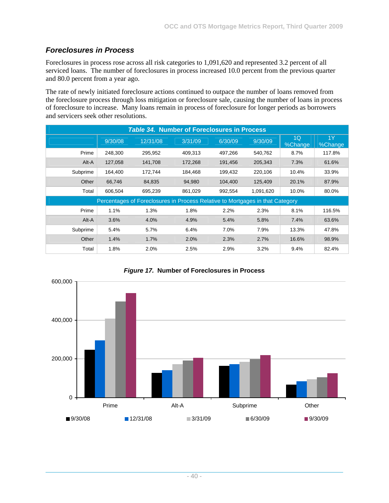# *Foreclosures in Process*

Foreclosures in process rose across all risk categories to 1,091,620 and represented 3.2 percent of all serviced loans. The number of foreclosures in process increased 10.0 percent from the previous quarter and 80.0 percent from a year ago.

The rate of newly initiated foreclosure actions continued to outpace the number of loans removed from the foreclosure process through loss mitigation or foreclosure sale, causing the number of loans in process of foreclosure to increase. Many loans remain in process of foreclosure for longer periods as borrowers and servicers seek other resolutions.

| <b>Table 34. Number of Foreclosures in Process</b> |         |                                                                               |         |         |           |                           |               |  |  |  |
|----------------------------------------------------|---------|-------------------------------------------------------------------------------|---------|---------|-----------|---------------------------|---------------|--|--|--|
|                                                    | 9/30/08 | 12/31/08                                                                      | 3/31/09 | 6/30/09 | 9/30/09   | 1 <sub>Q</sub><br>%Change | 1Y<br>%Change |  |  |  |
| Prime                                              | 248.300 | 295.952                                                                       | 409.313 | 497.266 | 540,762   | 8.7%                      | 117.8%        |  |  |  |
| Alt-A                                              | 127,058 | 141,708                                                                       | 172,268 | 191,456 | 205,343   | 7.3%                      | 61.6%         |  |  |  |
| Subprime                                           | 164.400 | 172,744                                                                       | 184.468 | 199.432 | 220,106   | 10.4%                     | 33.9%         |  |  |  |
| Other                                              | 66,746  | 84,835                                                                        | 94,980  | 104,400 | 125,409   | 20.1%                     | 87.9%         |  |  |  |
| Total                                              | 606,504 | 695,239                                                                       | 861,029 | 992,554 | 1,091,620 | 10.0%                     | 80.0%         |  |  |  |
|                                                    |         | Percentages of Foreclosures in Process Relative to Mortgages in that Category |         |         |           |                           |               |  |  |  |
| Prime                                              | 1.1%    | 1.3%                                                                          | 1.8%    | 2.2%    | 2.3%      | 8.1%                      | 116.5%        |  |  |  |
| Alt-A                                              | 3.6%    | 4.0%                                                                          | 4.9%    | 5.4%    | 5.8%      | 7.4%                      | 63.6%         |  |  |  |
| Subprime                                           | 5.4%    | 5.7%                                                                          | 6.4%    | 7.0%    | 7.9%      | 13.3%                     | 47.8%         |  |  |  |
| Other                                              | 1.4%    | 1.7%                                                                          | 2.0%    | 2.3%    | 2.7%      | 16.6%                     | 98.9%         |  |  |  |
| Total                                              | 1.8%    | 2.0%                                                                          | 2.5%    | 2.9%    | 3.2%      | 9.4%                      | 82.4%         |  |  |  |



*Figure 17.* **Number of Foreclosures in Process**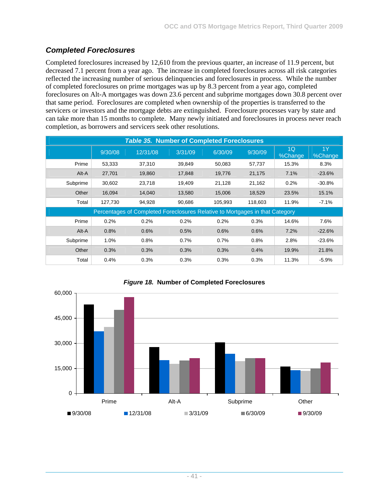# *Completed Foreclosures*

Completed foreclosures increased by 12,610 from the previous quarter, an increase of 11.9 percent, but decreased 7.1 percent from a year ago. The increase in completed foreclosures across all risk categories reflected the increasing number of serious delinquencies and foreclosures in process. While the number of completed foreclosures on prime mortgages was up by 8.3 percent from a year ago, completed foreclosures on Alt-A mortgages was down 23.6 percent and subprime mortgages down 30.8 percent over that same period. Foreclosures are completed when ownership of the properties is transferred to the servicers or investors and the mortgage debts are extinguished. Foreclosure processes vary by state and can take more than 15 months to complete. Many newly initiated and foreclosures in process never reach completion, as borrowers and servicers seek other resolutions.

|          |         | <b>Table 35. Number of Completed Foreclosures</b>                            |         |         |         |               |               |
|----------|---------|------------------------------------------------------------------------------|---------|---------|---------|---------------|---------------|
|          | 9/30/08 | 12/31/08                                                                     | 3/31/09 | 6/30/09 | 9/30/09 | 1Q<br>%Change | 1Y<br>%Change |
| Prime    | 53,333  | 37,310                                                                       | 39,849  | 50,083  | 57,737  | 15.3%         | 8.3%          |
| Alt-A    | 27,701  | 19,860                                                                       | 17,848  | 19,776  | 21,175  | 7.1%          | $-23.6%$      |
| Subprime | 30,602  | 23,718                                                                       | 19,409  | 21,128  | 21,162  | 0.2%          | $-30.8%$      |
| Other    | 16,094  | 14,040                                                                       | 13,580  | 15,006  | 18,529  | 23.5%         | 15.1%         |
| Total    | 127,730 | 94,928                                                                       | 90,686  | 105,993 | 118,603 | 11.9%         | $-7.1%$       |
|          |         | Percentages of Completed Foreclosures Relative to Mortgages in that Category |         |         |         |               |               |
| Prime    | 0.2%    | 0.2%                                                                         | 0.2%    | 0.2%    | 0.3%    | 14.6%         | 7.6%          |
| Alt-A    | 0.8%    | 0.6%                                                                         | 0.5%    | 0.6%    | 0.6%    | 7.2%          | $-22.6%$      |
| Subprime | 1.0%    | 0.8%                                                                         | 0.7%    | 0.7%    | 0.8%    | 2.8%          | $-23.6%$      |
| Other    | 0.3%    | 0.3%                                                                         | 0.3%    | 0.3%    | 0.4%    | 19.9%         | 21.8%         |
| Total    | 0.4%    | 0.3%                                                                         | 0.3%    | 0.3%    | 0.3%    | 11.3%         | $-5.9%$       |



#### *Figure 18.* **Number of Completed Foreclosures**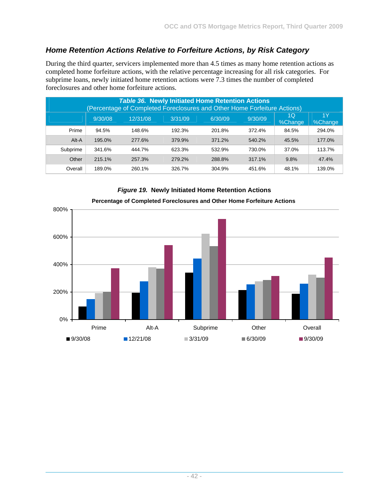# *Home Retention Actions Relative to Forfeiture Actions, by Risk Category*

During the third quarter, servicers implemented more than 4.5 times as many home retention actions as completed home forfeiture actions, with the relative percentage increasing for all risk categories. For subprime loans, newly initiated home retention actions were 7.3 times the number of completed foreclosures and other home forfeiture actions.

|          |         | <b>Table 36. Newly Initiated Home Retention Actions</b><br>(Percentage of Completed Foreclosures and Other Home Forfeiture Actions) |         |         |         |               |               |
|----------|---------|-------------------------------------------------------------------------------------------------------------------------------------|---------|---------|---------|---------------|---------------|
|          | 9/30/08 | 12/31/08                                                                                                                            | 3/31/09 | 6/30/09 | 9/30/09 | 1Q<br>%Change | 1Y<br>%Change |
| Prime    | 94.5%   | 148.6%                                                                                                                              | 192.3%  | 201.8%  | 372.4%  | 84.5%         | 294.0%        |
| Alt-A    | 195.0%  | 277.6%                                                                                                                              | 379.9%  | 371.2%  | 540.2%  | 45.5%         | 177.0%        |
| Subprime | 341.6%  | 444.7%                                                                                                                              | 623.3%  | 532.9%  | 730.0%  | 37.0%         | 113.7%        |
| Other    | 215.1%  | 257.3%                                                                                                                              | 279.2%  | 288.8%  | 317.1%  | 9.8%          | 47.4%         |
| Overall  | 189.0%  | 260.1%                                                                                                                              | 326.7%  | 304.9%  | 451.6%  | 48.1%         | 139.0%        |



# *Figure 19.* **Newly Initiated Home Retention Actions**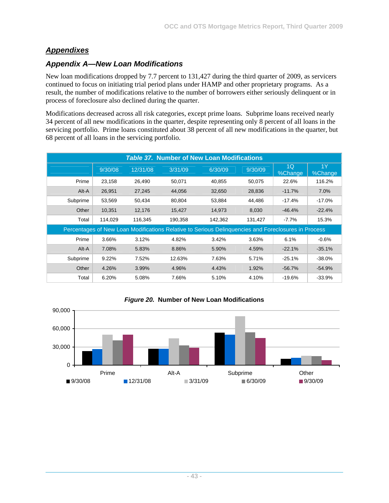# *Appendixes*

# *Appendix A—New Loan Modifications*

New loan modifications dropped by 7.7 percent to 131,427 during the third quarter of 2009, as servicers continued to focus on initiating trial period plans under HAMP and other proprietary programs. As a result, the number of modifications relative to the number of borrowers either seriously delinquent or in process of foreclosure also declined during the quarter.

Modifications decreased across all risk categories, except prime loans. Subprime loans received nearly 34 percent of all new modifications in the quarter, despite representing only 8 percent of all loans in the servicing portfolio. Prime loans constituted about 38 percent of all new modifications in the quarter, but 68 percent of all loans in the servicing portfolio.

|          |         |          |         | <b>Table 37. Number of New Loan Modifications</b>                                                   |         |                           |               |
|----------|---------|----------|---------|-----------------------------------------------------------------------------------------------------|---------|---------------------------|---------------|
|          | 9/30/08 | 12/31/08 | 3/31/09 | 6/30/09                                                                                             | 9/30/09 | 1 <sub>O</sub><br>%Change | 1Y<br>%Change |
| Prime    | 23,158  | 26,490   | 50,071  | 40,855                                                                                              | 50,075  | 22.6%                     | 116.2%        |
| Alt-A    | 26,951  | 27,245   | 44,056  | 32,650                                                                                              | 28,836  | $-11.7%$                  | 7.0%          |
| Subprime | 53,569  | 50,434   | 80,804  | 53,884                                                                                              | 44.486  | $-17.4%$                  | $-17.0%$      |
| Other    | 10,351  | 12,176   | 15,427  | 14,973                                                                                              | 8,030   | $-46.4%$                  | $-22.4%$      |
| Total    | 114,029 | 116,345  | 190,358 | 142,362                                                                                             | 131,427 | $-7.7%$                   | 15.3%         |
|          |         |          |         | Percentages of New Loan Modifications Relative to Serious Delinquencies and Foreclosures in Process |         |                           |               |
| Prime    | 3.66%   | 3.12%    | 4.82%   | 3.42%                                                                                               | 3.63%   | 6.1%                      | $-0.6%$       |
| Alt-A    | 7.08%   | 5.83%    | 8.86%   | 5.90%                                                                                               | 4.59%   | $-22.1%$                  | $-35.1%$      |
| Subprime | 9.22%   | 7.52%    | 12.63%  | 7.63%                                                                                               | 5.71%   | $-25.1%$                  | $-38.0%$      |
| Other    | 4.26%   | 3.99%    | 4.96%   | 4.43%                                                                                               | 1.92%   | $-56.7%$                  | $-54.9%$      |
| Total    | 6.20%   | 5.08%    | 7.66%   | 5.10%                                                                                               | 4.10%   | $-19.6%$                  | $-33.9%$      |



#### *Figure 20.* **Number of New Loan Modifications**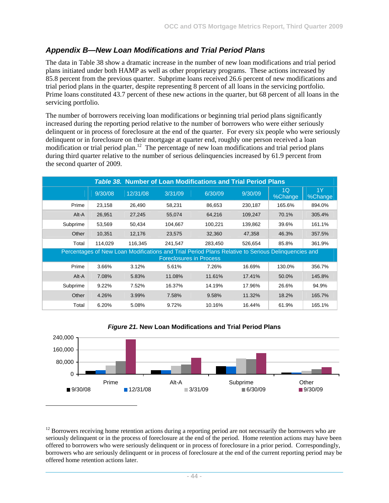## *Appendix B—New Loan Modifications and Trial Period Plans*

The data in Table 38 show a dramatic increase in the number of new loan modifications and trial period plans initiated under both HAMP as well as other proprietary programs. These actions increased by 85.8 percent from the previous quarter. Subprime loans received 26.6 percent of new modifications and trial period plans in the quarter, despite representing 8 percent of all loans in the servicing portfolio. Prime loans constituted 43.7 percent of these new actions in the quarter, but 68 percent of all loans in the servicing portfolio.

The number of borrowers receiving loan modifications or beginning trial period plans significantly increased during the reporting period relative to the number of borrowers who were either seriously delinquent or in process of foreclosure at the end of the quarter. For every six people who were seriously delinquent or in foreclosure on their mortgage at quarter end, roughly one person received a loan modification or trial period plan.<sup>12</sup> The percentage of new loan modifications and trial period plans during third quarter relative to the number of serious delinquencies increased by 61.9 percent from the second quarter of 2009.

|                                                                                                                                      |         |          |         | <b>Table 38. Number of Loan Modifications and Trial Period Plans</b> |         |               |               |
|--------------------------------------------------------------------------------------------------------------------------------------|---------|----------|---------|----------------------------------------------------------------------|---------|---------------|---------------|
|                                                                                                                                      | 9/30/08 | 12/31/08 | 3/31/09 | 6/30/09                                                              | 9/30/09 | 1Q<br>%Change | 1Y<br>%Change |
| Prime                                                                                                                                | 23,158  | 26,490   | 58,231  | 86,653                                                               | 230,187 | 165.6%        | 894.0%        |
| Alt-A                                                                                                                                | 26,951  | 27,245   | 55,074  | 64,216                                                               | 109,247 | 70.1%         | 305.4%        |
| Subprime                                                                                                                             | 53,569  | 50,434   | 104,667 | 100,221                                                              | 139,862 | 39.6%         | 161.1%        |
| Other                                                                                                                                | 10,351  | 12,176   | 23,575  | 32,360                                                               | 47,358  | 46.3%         | 357.5%        |
| Total                                                                                                                                | 114,029 | 116,345  | 241,547 | 283,450                                                              | 526,654 | 85.8%         | 361.9%        |
| Percentages of New Loan Modifications and Trial Period Plans Relative to Serious Delinquencies and<br><b>Foreclosures in Process</b> |         |          |         |                                                                      |         |               |               |
| Prime                                                                                                                                | 3.66%   | 3.12%    | 5.61%   | 7.26%                                                                | 16.69%  | 130.0%        | 356.7%        |
| Alt-A                                                                                                                                | 7.08%   | 5.83%    | 11.08%  | 11.61%                                                               | 17.41%  | 50.0%         | 145.8%        |
| Subprime                                                                                                                             | 9.22%   | 7.52%    | 16.37%  | 14.19%                                                               | 17.96%  | 26.6%         | 94.9%         |
| Other                                                                                                                                | 4.26%   | 3.99%    | 7.58%   | 9.58%                                                                | 11.32%  | 18.2%         | 165.7%        |
| Total                                                                                                                                | 6.20%   | 5.08%    | 9.72%   | 10.16%                                                               | 16.44%  | 61.9%         | 165.1%        |



l

#### *Figure 21.* **New Loan Modifications and Trial Period Plans**

 $12$  Borrowers receiving home retention actions during a reporting period are not necessarily the borrowers who are seriously delinquent or in the process of foreclosure at the end of the period. Home retention actions may have been offered to borrowers who were seriously delinquent or in process of foreclosure in a prior period. Correspondingly, borrowers who are seriously delinquent or in process of foreclosure at the end of the current reporting period may be offered home retention actions later.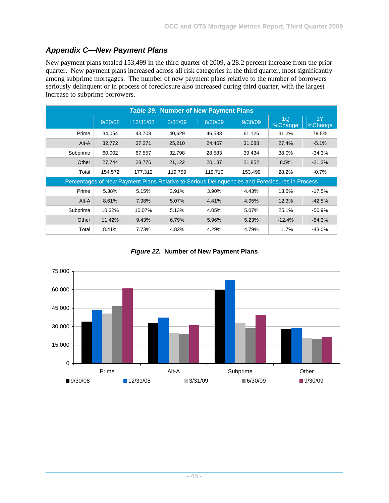# *Appendix C—New Payment Plans*

New payment plans totaled 153,499 in the third quarter of 2009, a 28.2 percent increase from the prior quarter. New payment plans increased across all risk categories in the third quarter, most significantly among subprime mortgages. The number of new payment plans relative to the number of borrowers seriously delinquent or in process of foreclosure also increased during third quarter, with the largest increase to subprime borrowers.

|          |         |          |         | <b>Table 39. Number of New Payment Plans</b>                                                   |         |               |               |
|----------|---------|----------|---------|------------------------------------------------------------------------------------------------|---------|---------------|---------------|
|          | 9/30/08 | 12/31/08 | 3/31/09 | 6/30/09                                                                                        | 9/30/09 | 1Q<br>%Change | 1Y<br>%Change |
| Prime    | 34,054  | 43.708   | 40.629  | 46.583                                                                                         | 61,125  | 31.2%         | 79.5%         |
| Alt-A    | 32,772  | 37,271   | 25,210  | 24,407                                                                                         | 31,088  | 27.4%         | $-5.1%$       |
| Subprime | 60,002  | 67,557   | 32,798  | 28,583                                                                                         | 39,434  | 38.0%         | $-34.3\%$     |
| Other    | 27,744  | 28,776   | 21,122  | 20,137                                                                                         | 21,852  | 8.5%          | $-21.2%$      |
| Total    | 154,572 | 177,312  | 119,759 | 119,710                                                                                        | 153,499 | 28.2%         | $-0.7%$       |
|          |         |          |         | Percentages of New Payment Plans Relative to Serious Delinquencies and Foreclosures in Process |         |               |               |
| Prime    | 5.38%   | 5.15%    | 3.91%   | 3.90%                                                                                          | 4.43%   | 13.6%         | $-17.5%$      |
| Alt-A    | 8.61%   | 7.98%    | 5.07%   | 4.41%                                                                                          | 4.95%   | 12.3%         | $-42.5%$      |
| Subprime | 10.32%  | 10.07%   | 5.13%   | 4.05%                                                                                          | 5.07%   | 25.1%         | $-50.9%$      |
| Other    | 11.42%  | 9.43%    | 6.79%   | 5.96%                                                                                          | 5.23%   | $-12.4%$      | $-54.3%$      |
| Total    | 8.41%   | 7.73%    | 4.82%   | 4.29%                                                                                          | 4.79%   | 11.7%         | $-43.0%$      |

*Figure 22.* **Number of New Payment Plans** 

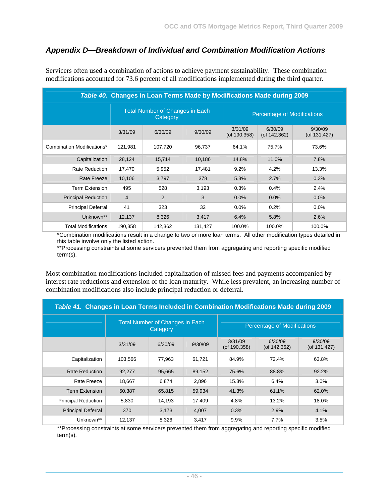## *Appendix D—Breakdown of Individual and Combination Modification Actions*

| Table 40. Changes in Loan Terms Made by Modifications Made during 2009 |                                                                                          |         |         |                               |                               |                               |
|------------------------------------------------------------------------|------------------------------------------------------------------------------------------|---------|---------|-------------------------------|-------------------------------|-------------------------------|
|                                                                        | <b>Total Number of Changes in Each</b><br><b>Percentage of Modifications</b><br>Category |         |         |                               |                               |                               |
|                                                                        | 3/31/09                                                                                  | 6/30/09 | 9/30/09 | 3/31/09<br>$($ of 190,358 $)$ | 6/30/09<br>$($ of 142,362 $)$ | 9/30/09<br>$($ of 131,427 $)$ |
| Combination Modifications*                                             | 121,981                                                                                  | 107,720 | 96,737  | 64.1%                         | 75.7%                         | 73.6%                         |
| Capitalization                                                         | 28,124                                                                                   | 15,714  | 10,186  | 14.8%                         | 11.0%                         | 7.8%                          |
| <b>Rate Reduction</b>                                                  | 17,470                                                                                   | 5,952   | 17,481  | 9.2%                          | 4.2%                          | 13.3%                         |
| Rate Freeze                                                            | 10,106                                                                                   | 3,797   | 378     | 5.3%                          | 2.7%                          | 0.3%                          |
| <b>Term Extension</b>                                                  | 495                                                                                      | 528     | 3,193   | 0.3%                          | 0.4%                          | 2.4%                          |
| <b>Principal Reduction</b>                                             | $\overline{4}$                                                                           | 2       | 3       | 0.0%                          | 0.0%                          | 0.0%                          |
| <b>Principal Deferral</b>                                              | 41                                                                                       | 323     | 32      | 0.0%                          | 0.2%                          | $0.0\%$                       |
| Unknown**                                                              | 12,137                                                                                   | 8,326   | 3,417   | 6.4%                          | 5.8%                          | 2.6%                          |
| <b>Total Modifications</b>                                             | 190,358                                                                                  | 142,362 | 131,427 | 100.0%                        | 100.0%                        | 100.0%                        |

Servicers often used a combination of actions to achieve payment sustainability. These combination modifications accounted for 73.6 percent of all modifications implemented during the third quarter.

\*Combination modifications result in a change to two or more loan terms. All other modification types detailed in this table involve only the listed action.

\*\*Processing constraints at some servicers prevented them from aggregating and reporting specific modified term(s).

Most combination modifications included capitalization of missed fees and payments accompanied by interest rate reductions and extension of the loan maturity. While less prevalent, an increasing number of combination modifications also include principal reduction or deferral.

| Table 41. Changes in Loan Terms Included in Combination Modifications Made during 2009 |         |                                                    |         |                               |                                    |                            |
|----------------------------------------------------------------------------------------|---------|----------------------------------------------------|---------|-------------------------------|------------------------------------|----------------------------|
|                                                                                        |         | <b>Total Number of Changes in Each</b><br>Category |         |                               | <b>Percentage of Modifications</b> |                            |
|                                                                                        | 3/31/09 | 6/30/09                                            | 9/30/09 | 3/31/09<br>$($ of 190,358 $)$ | 6/30/09<br>$($ of 142,362 $)$      | 9/30/09<br>(of $131,427$ ) |
| Capitalization                                                                         | 103,566 | 77,963                                             | 61,721  | 84.9%                         | 72.4%                              | 63.8%                      |
| <b>Rate Reduction</b>                                                                  | 92,277  | 95,665                                             | 89,152  | 75.6%                         | 88.8%                              | 92.2%                      |
| <b>Rate Freeze</b>                                                                     | 18,667  | 6,874                                              | 2,896   | 15.3%                         | 6.4%                               | 3.0%                       |
| <b>Term Extension</b>                                                                  | 50.387  | 65.815                                             | 59.934  | 41.3%                         | 61.1%                              | 62.0%                      |
| <b>Principal Reduction</b>                                                             | 5,830   | 14,193                                             | 17,409  | 4.8%                          | 13.2%                              | 18.0%                      |
| <b>Principal Deferral</b>                                                              | 370     | 3,173                                              | 4.007   | 0.3%                          | 2.9%                               | 4.1%                       |
| Unknown**                                                                              | 12,137  | 8,326                                              | 3,417   | 9.9%                          | 7.7%                               | 3.5%                       |

\*\*Processing constraints at some servicers prevented them from aggregating and reporting specific modified term(s).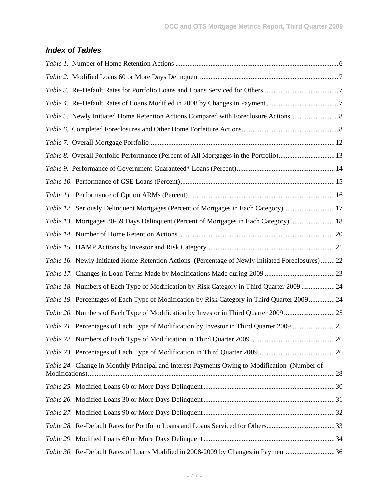# *Index of Tables*

| Table 8. Overall Portfolio Performance (Percent of All Mortgages in the Portfolio) 13           |  |
|-------------------------------------------------------------------------------------------------|--|
|                                                                                                 |  |
|                                                                                                 |  |
|                                                                                                 |  |
| Table 12. Seriously Delinquent Mortgages (Percent of Mortgages in Each Category) 17             |  |
| Table 13. Mortgages 30-59 Days Delinquent (Percent of Mortgages in Each Category) 18            |  |
|                                                                                                 |  |
|                                                                                                 |  |
| Table 16. Newly Initiated Home Retention Actions (Percentage of Newly Initiated Foreclosures)22 |  |
|                                                                                                 |  |
| Table 18. Numbers of Each Type of Modification by Risk Category in Third Quarter 2009  24       |  |
| Table 19. Percentages of Each Type of Modification by Risk Category in Third Quarter 2009 24    |  |
| Table 20. Numbers of Each Type of Modification by Investor in Third Quarter 2009 25             |  |
| Table 21. Percentages of Each Type of Modification by Investor in Third Quarter 200925          |  |
|                                                                                                 |  |
|                                                                                                 |  |
| Table 24. Change in Monthly Principal and Interest Payments Owing to Modification (Number of    |  |
|                                                                                                 |  |
|                                                                                                 |  |
|                                                                                                 |  |
|                                                                                                 |  |
|                                                                                                 |  |
| Table 30. Re-Default Rates of Loans Modified in 2008-2009 by Changes in Payment36               |  |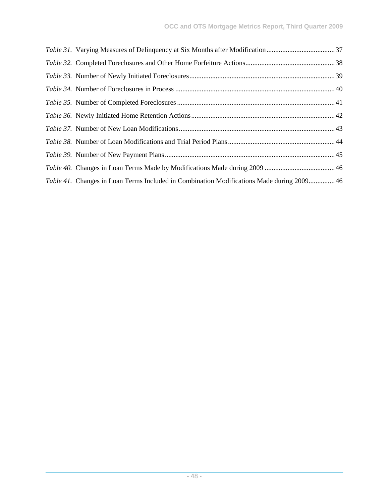| <i>Table 41.</i> Changes in Loan Terms Included in Combination Modifications Made during 2009 46 |
|--------------------------------------------------------------------------------------------------|